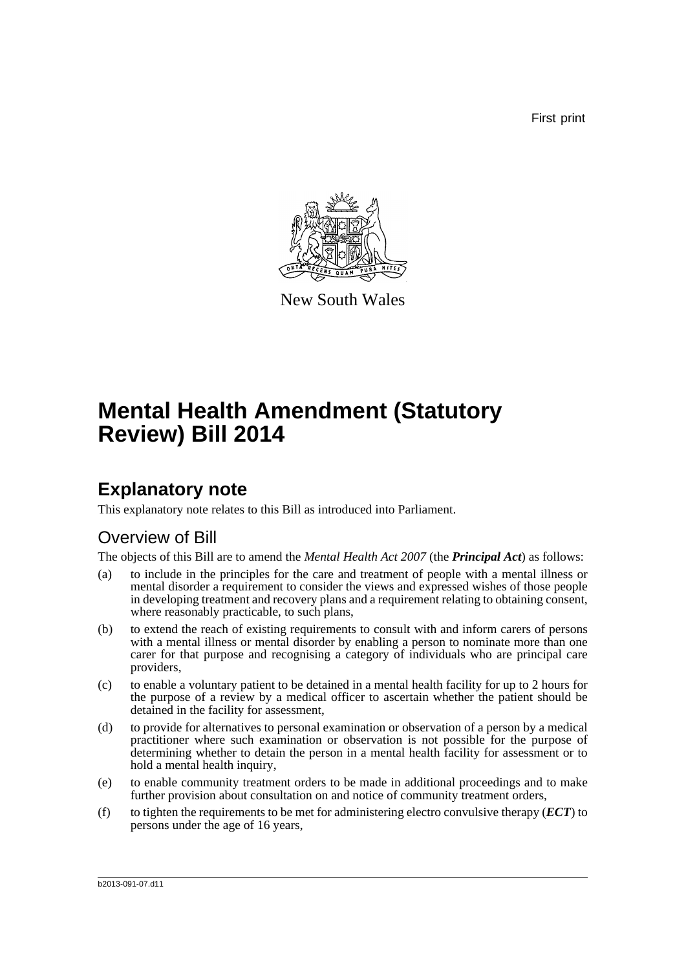First print



New South Wales

# **Mental Health Amendment (Statutory Review) Bill 2014**

## **Explanatory note**

This explanatory note relates to this Bill as introduced into Parliament.

## Overview of Bill

The objects of this Bill are to amend the *Mental Health Act 2007* (the *Principal Act*) as follows:

- (a) to include in the principles for the care and treatment of people with a mental illness or mental disorder a requirement to consider the views and expressed wishes of those people in developing treatment and recovery plans and a requirement relating to obtaining consent, where reasonably practicable, to such plans,
- (b) to extend the reach of existing requirements to consult with and inform carers of persons with a mental illness or mental disorder by enabling a person to nominate more than one carer for that purpose and recognising a category of individuals who are principal care providers,
- (c) to enable a voluntary patient to be detained in a mental health facility for up to 2 hours for the purpose of a review by a medical officer to ascertain whether the patient should be detained in the facility for assessment,
- (d) to provide for alternatives to personal examination or observation of a person by a medical practitioner where such examination or observation is not possible for the purpose of determining whether to detain the person in a mental health facility for assessment or to hold a mental health inquiry,
- (e) to enable community treatment orders to be made in additional proceedings and to make further provision about consultation on and notice of community treatment orders,
- (f) to tighten the requirements to be met for administering electro convulsive therapy (*ECT*) to persons under the age of 16 years,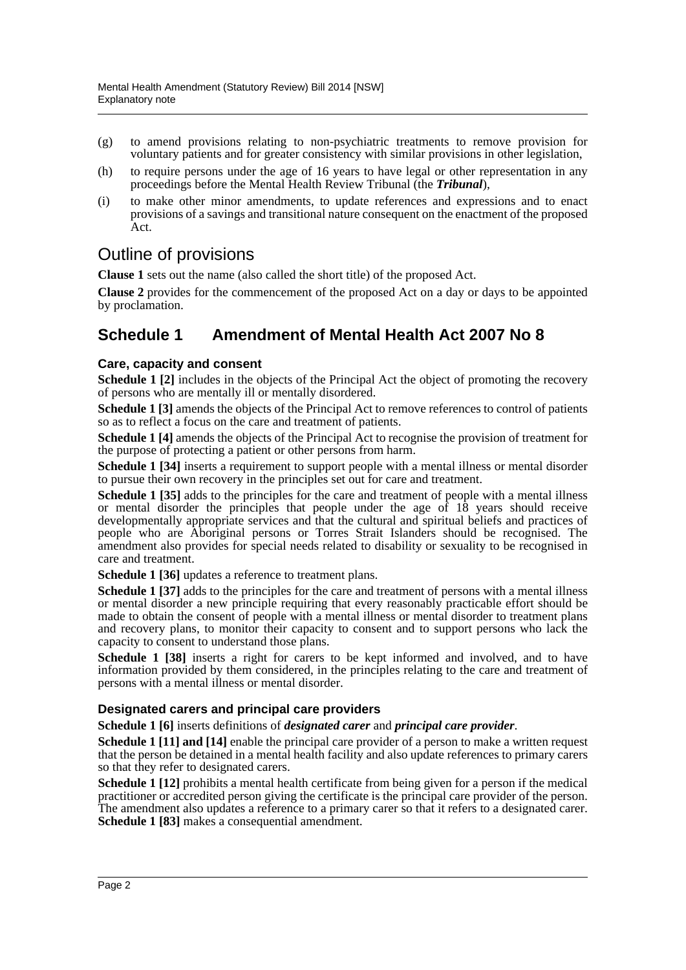- (g) to amend provisions relating to non-psychiatric treatments to remove provision for voluntary patients and for greater consistency with similar provisions in other legislation,
- (h) to require persons under the age of 16 years to have legal or other representation in any proceedings before the Mental Health Review Tribunal (the *Tribunal*),
- (i) to make other minor amendments, to update references and expressions and to enact provisions of a savings and transitional nature consequent on the enactment of the proposed Act.

## Outline of provisions

**Clause 1** sets out the name (also called the short title) of the proposed Act.

**Clause 2** provides for the commencement of the proposed Act on a day or days to be appointed by proclamation.

## **Schedule 1 Amendment of Mental Health Act 2007 No 8**

### **Care, capacity and consent**

**Schedule 1 [2]** includes in the objects of the Principal Act the object of promoting the recovery of persons who are mentally ill or mentally disordered.

**Schedule 1 [3]** amends the objects of the Principal Act to remove references to control of patients so as to reflect a focus on the care and treatment of patients.

**Schedule 1 [4]** amends the objects of the Principal Act to recognise the provision of treatment for the purpose of protecting a patient or other persons from harm.

**Schedule 1 [34]** inserts a requirement to support people with a mental illness or mental disorder to pursue their own recovery in the principles set out for care and treatment.

**Schedule 1 [35]** adds to the principles for the care and treatment of people with a mental illness or mental disorder the principles that people under the age of 18 years should receive developmentally appropriate services and that the cultural and spiritual beliefs and practices of people who are Aboriginal persons or Torres Strait Islanders should be recognised. The amendment also provides for special needs related to disability or sexuality to be recognised in care and treatment.

**Schedule 1 [36]** updates a reference to treatment plans.

**Schedule 1 [37]** adds to the principles for the care and treatment of persons with a mental illness or mental disorder a new principle requiring that every reasonably practicable effort should be made to obtain the consent of people with a mental illness or mental disorder to treatment plans and recovery plans, to monitor their capacity to consent and to support persons who lack the capacity to consent to understand those plans.

**Schedule 1 [38]** inserts a right for carers to be kept informed and involved, and to have information provided by them considered, in the principles relating to the care and treatment of persons with a mental illness or mental disorder.

#### **Designated carers and principal care providers**

**Schedule 1 [6]** inserts definitions of *designated carer* and *principal care provider*.

**Schedule 1 [11] and [14]** enable the principal care provider of a person to make a written request that the person be detained in a mental health facility and also update references to primary carers so that they refer to designated carers.

**Schedule 1 [12]** prohibits a mental health certificate from being given for a person if the medical practitioner or accredited person giving the certificate is the principal care provider of the person. The amendment also updates a reference to a primary carer so that it refers to a designated carer. **Schedule 1 [83]** makes a consequential amendment.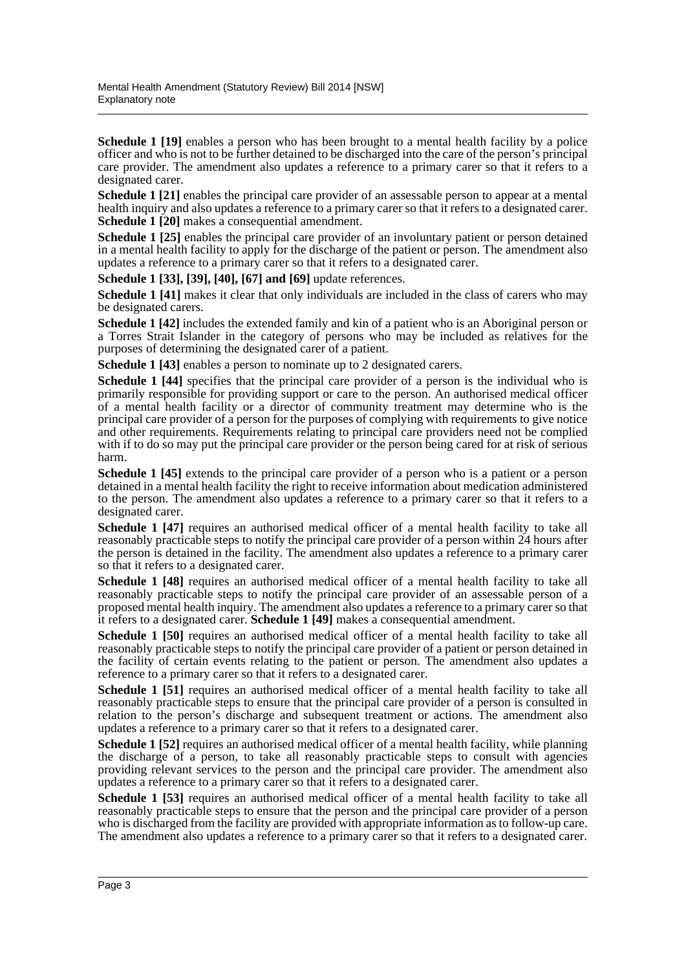**Schedule 1 [19]** enables a person who has been brought to a mental health facility by a police officer and who is not to be further detained to be discharged into the care of the person's principal care provider. The amendment also updates a reference to a primary carer so that it refers to a designated carer.

**Schedule 1 [21]** enables the principal care provider of an assessable person to appear at a mental health inquiry and also updates a reference to a primary carer so that it refers to a designated carer. **Schedule 1 [20]** makes a consequential amendment.

**Schedule 1 [25]** enables the principal care provider of an involuntary patient or person detained in a mental health facility to apply for the discharge of the patient or person. The amendment also updates a reference to a primary carer so that it refers to a designated carer.

**Schedule 1 [33], [39], [40], [67] and [69]** update references.

**Schedule 1 [41]** makes it clear that only individuals are included in the class of carers who may be designated carers.

**Schedule 1 [42]** includes the extended family and kin of a patient who is an Aboriginal person or a Torres Strait Islander in the category of persons who may be included as relatives for the purposes of determining the designated carer of a patient.

**Schedule 1 [43]** enables a person to nominate up to 2 designated carers.

**Schedule 1 [44]** specifies that the principal care provider of a person is the individual who is primarily responsible for providing support or care to the person. An authorised medical officer of a mental health facility or a director of community treatment may determine who is the principal care provider of a person for the purposes of complying with requirements to give notice and other requirements. Requirements relating to principal care providers need not be complied with if to do so may put the principal care provider or the person being cared for at risk of serious harm.

**Schedule 1 [45]** extends to the principal care provider of a person who is a patient or a person detained in a mental health facility the right to receive information about medication administered to the person. The amendment also updates a reference to a primary carer so that it refers to a designated carer.

**Schedule 1 [47]** requires an authorised medical officer of a mental health facility to take all reasonably practicable steps to notify the principal care provider of a person within 24 hours after the person is detained in the facility. The amendment also updates a reference to a primary carer so that it refers to a designated carer.

**Schedule 1 [48]** requires an authorised medical officer of a mental health facility to take all reasonably practicable steps to notify the principal care provider of an assessable person of a proposed mental health inquiry. The amendment also updates a reference to a primary carer so that it refers to a designated carer. **Schedule 1 [49]** makes a consequential amendment.

**Schedule 1 [50]** requires an authorised medical officer of a mental health facility to take all reasonably practicable steps to notify the principal care provider of a patient or person detained in the facility of certain events relating to the patient or person. The amendment also updates a reference to a primary carer so that it refers to a designated carer.

**Schedule 1 [51]** requires an authorised medical officer of a mental health facility to take all reasonably practicable steps to ensure that the principal care provider of a person is consulted in relation to the person's discharge and subsequent treatment or actions. The amendment also updates a reference to a primary carer so that it refers to a designated carer.

**Schedule 1 [52]** requires an authorised medical officer of a mental health facility, while planning the discharge of a person, to take all reasonably practicable steps to consult with agencies providing relevant services to the person and the principal care provider. The amendment also updates a reference to a primary carer so that it refers to a designated carer.

**Schedule 1 [53]** requires an authorised medical officer of a mental health facility to take all reasonably practicable steps to ensure that the person and the principal care provider of a person who is discharged from the facility are provided with appropriate information as to follow-up care. The amendment also updates a reference to a primary carer so that it refers to a designated carer.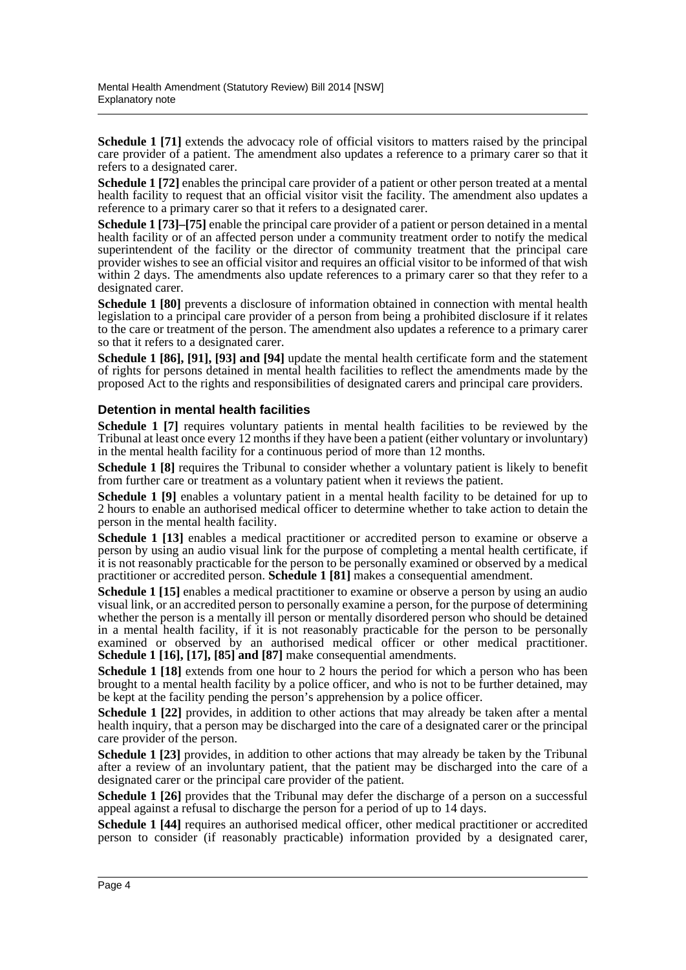**Schedule 1 [71]** extends the advocacy role of official visitors to matters raised by the principal care provider of a patient. The amendment also updates a reference to a primary carer so that it refers to a designated carer.

**Schedule 1 [72]** enables the principal care provider of a patient or other person treated at a mental health facility to request that an official visitor visit the facility. The amendment also updates a reference to a primary carer so that it refers to a designated carer.

**Schedule 1 [73]–[75]** enable the principal care provider of a patient or person detained in a mental health facility or of an affected person under a community treatment order to notify the medical superintendent of the facility or the director of community treatment that the principal care provider wishes to see an official visitor and requires an official visitor to be informed of that wish within 2 days. The amendments also update references to a primary carer so that they refer to a designated carer.

**Schedule 1 [80]** prevents a disclosure of information obtained in connection with mental health legislation to a principal care provider of a person from being a prohibited disclosure if it relates to the care or treatment of the person. The amendment also updates a reference to a primary carer so that it refers to a designated carer.

**Schedule 1 [86], [91], [93] and [94]** update the mental health certificate form and the statement of rights for persons detained in mental health facilities to reflect the amendments made by the proposed Act to the rights and responsibilities of designated carers and principal care providers.

#### **Detention in mental health facilities**

**Schedule 1 [7]** requires voluntary patients in mental health facilities to be reviewed by the Tribunal at least once every 12 months if they have been a patient (either voluntary or involuntary) in the mental health facility for a continuous period of more than 12 months.

**Schedule 1 [8]** requires the Tribunal to consider whether a voluntary patient is likely to benefit from further care or treatment as a voluntary patient when it reviews the patient.

**Schedule 1 [9]** enables a voluntary patient in a mental health facility to be detained for up to 2 hours to enable an authorised medical officer to determine whether to take action to detain the person in the mental health facility.

Schedule 1 [13] enables a medical practitioner or accredited person to examine or observe a person by using an audio visual link for the purpose of completing a mental health certificate, if it is not reasonably practicable for the person to be personally examined or observed by a medical practitioner or accredited person. **Schedule 1 [81]** makes a consequential amendment.

**Schedule 1 [15]** enables a medical practitioner to examine or observe a person by using an audio visual link, or an accredited person to personally examine a person, for the purpose of determining whether the person is a mentally ill person or mentally disordered person who should be detained in a mental health facility, if it is not reasonably practicable for the person to be personally examined or observed by an authorised medical officer or other medical practitioner. **Schedule 1 [16], [17], [85] and [87]** make consequential amendments.

**Schedule 1 [18]** extends from one hour to 2 hours the period for which a person who has been brought to a mental health facility by a police officer, and who is not to be further detained, may be kept at the facility pending the person's apprehension by a police officer.

**Schedule 1 [22]** provides, in addition to other actions that may already be taken after a mental health inquiry, that a person may be discharged into the care of a designated carer or the principal care provider of the person.

**Schedule 1 [23]** provides, in addition to other actions that may already be taken by the Tribunal after a review of an involuntary patient, that the patient may be discharged into the care of a designated carer or the principal care provider of the patient.

**Schedule 1 [26]** provides that the Tribunal may defer the discharge of a person on a successful appeal against a refusal to discharge the person for a period of up to 14 days.

Schedule 1 [44] requires an authorised medical officer, other medical practitioner or accredited person to consider (if reasonably practicable) information provided by a designated carer,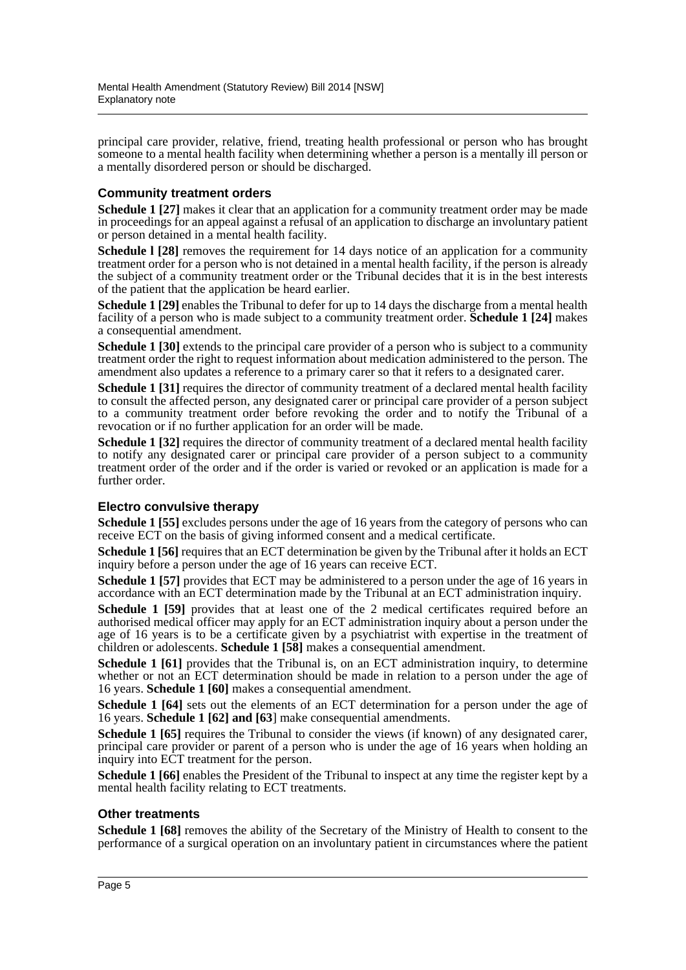principal care provider, relative, friend, treating health professional or person who has brought someone to a mental health facility when determining whether a person is a mentally ill person or a mentally disordered person or should be discharged.

### **Community treatment orders**

**Schedule 1 [27]** makes it clear that an application for a community treatment order may be made in proceedings for an appeal against a refusal of an application to discharge an involuntary patient or person detained in a mental health facility.

**Schedule 1 [28]** removes the requirement for 14 days notice of an application for a community treatment order for a person who is not detained in a mental health facility, if the person is already the subject of a community treatment order or the Tribunal decides that it is in the best interests of the patient that the application be heard earlier.

**Schedule 1 [29]** enables the Tribunal to defer for up to 14 days the discharge from a mental health facility of a person who is made subject to a community treatment order. **Schedule 1 [24]** makes a consequential amendment.

**Schedule 1 [30]** extends to the principal care provider of a person who is subject to a community treatment order the right to request information about medication administered to the person. The amendment also updates a reference to a primary carer so that it refers to a designated carer.

**Schedule 1 [31]** requires the director of community treatment of a declared mental health facility to consult the affected person, any designated carer or principal care provider of a person subject to a community treatment order before revoking the order and to notify the Tribunal of a revocation or if no further application for an order will be made.

**Schedule 1 [32]** requires the director of community treatment of a declared mental health facility to notify any designated carer or principal care provider of a person subject to a community treatment order of the order and if the order is varied or revoked or an application is made for a further order.

#### **Electro convulsive therapy**

**Schedule 1 [55]** excludes persons under the age of 16 years from the category of persons who can receive ECT on the basis of giving informed consent and a medical certificate.

**Schedule 1 [56]** requires that an ECT determination be given by the Tribunal after it holds an ECT inquiry before a person under the age of 16 years can receive ECT.

**Schedule 1 [57]** provides that ECT may be administered to a person under the age of 16 years in accordance with an ECT determination made by the Tribunal at an ECT administration inquiry.

**Schedule 1 [59]** provides that at least one of the 2 medical certificates required before an authorised medical officer may apply for an ECT administration inquiry about a person under the age of 16 years is to be a certificate given by a psychiatrist with expertise in the treatment of children or adolescents. **Schedule 1 [58]** makes a consequential amendment.

**Schedule 1 [61]** provides that the Tribunal is, on an ECT administration inquiry, to determine whether or not an ECT determination should be made in relation to a person under the age of 16 years. **Schedule 1 [60]** makes a consequential amendment.

**Schedule 1 [64]** sets out the elements of an ECT determination for a person under the age of 16 years. **Schedule 1 [62] and [63**] make consequential amendments.

**Schedule 1 [65]** requires the Tribunal to consider the views (if known) of any designated carer, principal care provider or parent of a person who is under the age of 16 years when holding an inquiry into ECT treatment for the person.

**Schedule 1 [66]** enables the President of the Tribunal to inspect at any time the register kept by a mental health facility relating to ECT treatments.

#### **Other treatments**

**Schedule 1 [68]** removes the ability of the Secretary of the Ministry of Health to consent to the performance of a surgical operation on an involuntary patient in circumstances where the patient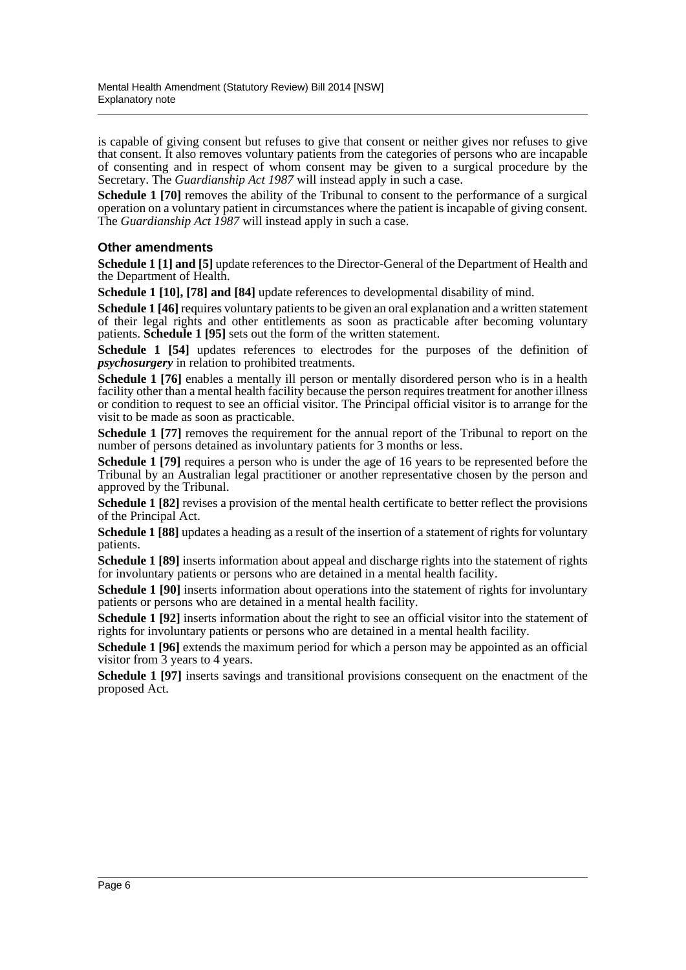is capable of giving consent but refuses to give that consent or neither gives nor refuses to give that consent. It also removes voluntary patients from the categories of persons who are incapable of consenting and in respect of whom consent may be given to a surgical procedure by the Secretary. The *Guardianship Act 1987* will instead apply in such a case.

**Schedule 1 [70]** removes the ability of the Tribunal to consent to the performance of a surgical operation on a voluntary patient in circumstances where the patient is incapable of giving consent. The *Guardianship Act 1987* will instead apply in such a case.

### **Other amendments**

**Schedule 1 [1] and [5]** update references to the Director-General of the Department of Health and the Department of Health.

**Schedule 1 [10], [78] and [84]** update references to developmental disability of mind.

**Schedule 1 [46]** requires voluntary patients to be given an oral explanation and a written statement of their legal rights and other entitlements as soon as practicable after becoming voluntary patients. **Schedule 1 [95]** sets out the form of the written statement.

**Schedule 1 [54]** updates references to electrodes for the purposes of the definition of *psychosurgery* in relation to prohibited treatments.

**Schedule 1 [76]** enables a mentally ill person or mentally disordered person who is in a health facility other than a mental health facility because the person requires treatment for another illness or condition to request to see an official visitor. The Principal official visitor is to arrange for the visit to be made as soon as practicable.

**Schedule 1 [77]** removes the requirement for the annual report of the Tribunal to report on the number of persons detained as involuntary patients for 3 months or less.

**Schedule 1 [79]** requires a person who is under the age of 16 years to be represented before the Tribunal by an Australian legal practitioner or another representative chosen by the person and approved by the Tribunal.

**Schedule 1 [82]** revises a provision of the mental health certificate to better reflect the provisions of the Principal Act.

**Schedule 1 [88]** updates a heading as a result of the insertion of a statement of rights for voluntary patients.

**Schedule 1 [89]** inserts information about appeal and discharge rights into the statement of rights for involuntary patients or persons who are detained in a mental health facility.

**Schedule 1 [90]** inserts information about operations into the statement of rights for involuntary patients or persons who are detained in a mental health facility.

**Schedule 1 [92]** inserts information about the right to see an official visitor into the statement of rights for involuntary patients or persons who are detained in a mental health facility.

**Schedule 1 [96]** extends the maximum period for which a person may be appointed as an official visitor from 3 years to 4 years.

**Schedule 1 [97]** inserts savings and transitional provisions consequent on the enactment of the proposed Act.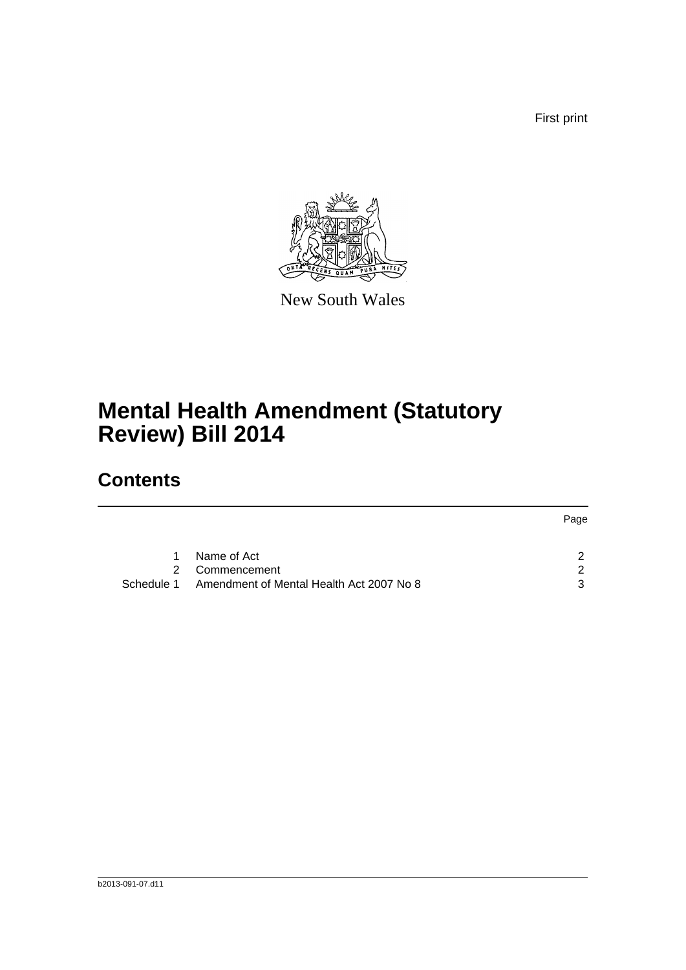First print



New South Wales

# **Mental Health Amendment (Statutory Review) Bill 2014**

# **Contents**

|            |                                          | Page |
|------------|------------------------------------------|------|
| 1.         | Name of Act                              |      |
|            | 2 Commencement                           | 2    |
| Schedule 1 | Amendment of Mental Health Act 2007 No 8 | 3    |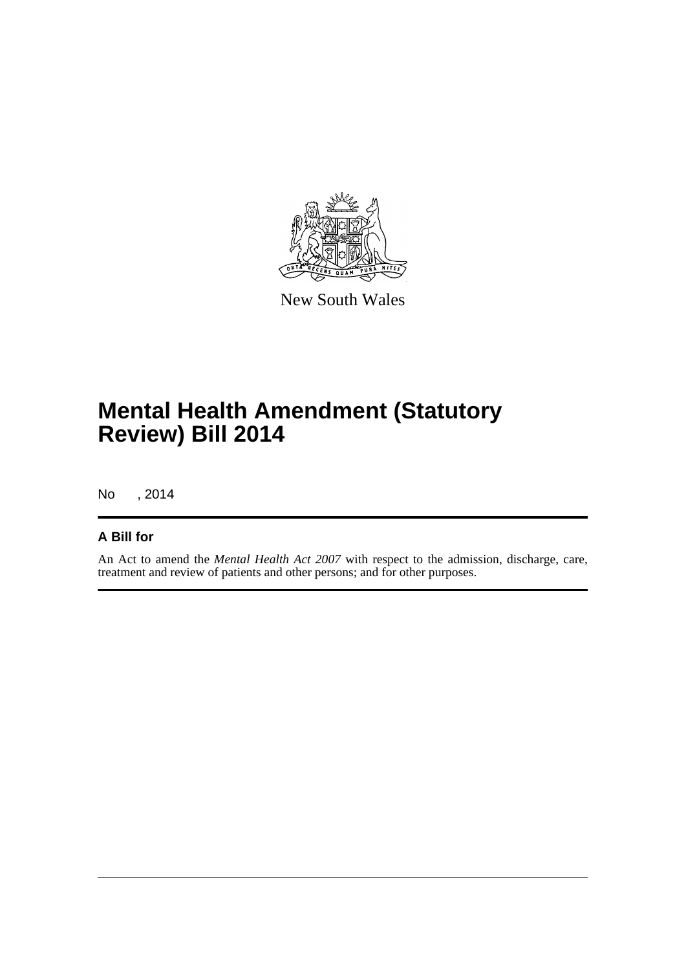

New South Wales

# **Mental Health Amendment (Statutory Review) Bill 2014**

No , 2014

### **A Bill for**

An Act to amend the *Mental Health Act 2007* with respect to the admission, discharge, care, treatment and review of patients and other persons; and for other purposes.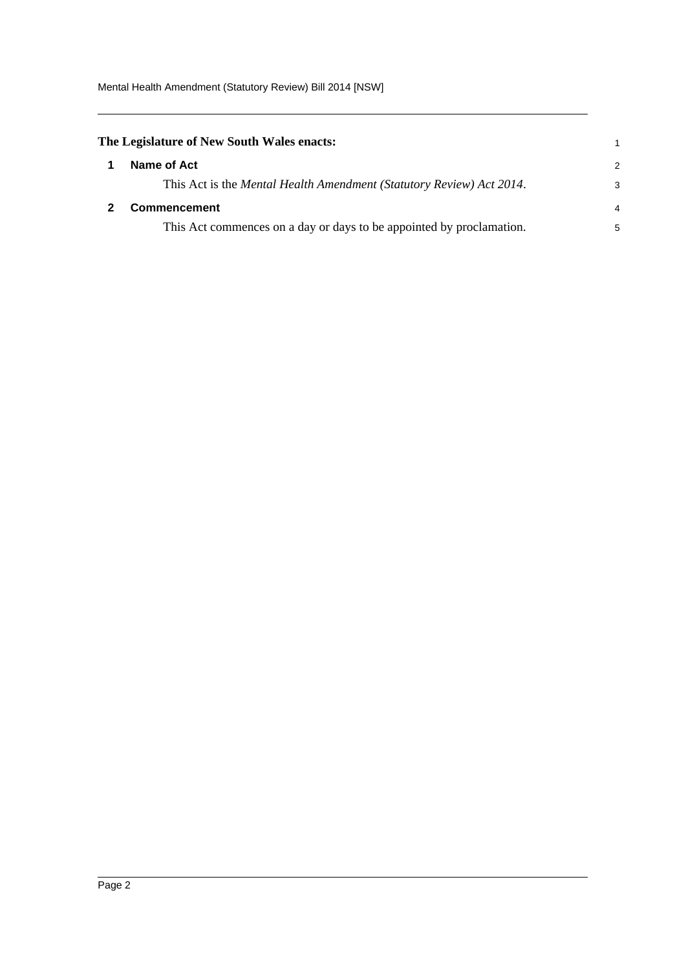Mental Health Amendment (Statutory Review) Bill 2014 [NSW]

<span id="page-8-1"></span><span id="page-8-0"></span>

| The Legislature of New South Wales enacts: |                                                                      |               |
|--------------------------------------------|----------------------------------------------------------------------|---------------|
|                                            | Name of Act                                                          | $\mathcal{P}$ |
|                                            | This Act is the Mental Health Amendment (Statutory Review) Act 2014. | 3             |
|                                            | <b>Commencement</b>                                                  | 4             |
|                                            | This Act commences on a day or days to be appointed by proclamation. | 5             |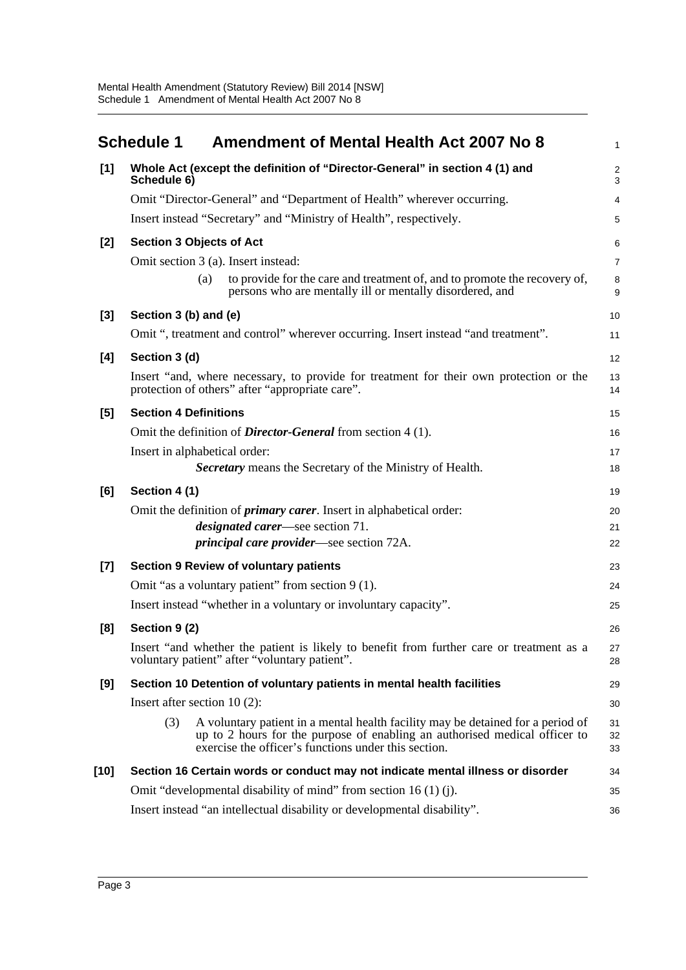<span id="page-9-0"></span>

|        | <b>Schedule 1</b><br><b>Amendment of Mental Health Act 2007 No 8</b>                                                                                                                                                         | $\mathbf{1}$    |
|--------|------------------------------------------------------------------------------------------------------------------------------------------------------------------------------------------------------------------------------|-----------------|
| [1]    | Whole Act (except the definition of "Director-General" in section 4 (1) and<br>Schedule 6)                                                                                                                                   | $\sqrt{2}$<br>3 |
|        | Omit "Director-General" and "Department of Health" wherever occurring.                                                                                                                                                       | 4               |
|        | Insert instead "Secretary" and "Ministry of Health", respectively.                                                                                                                                                           | 5               |
| $[2]$  | <b>Section 3 Objects of Act</b>                                                                                                                                                                                              | 6               |
|        | Omit section 3 (a). Insert instead:                                                                                                                                                                                          | $\overline{7}$  |
|        | to provide for the care and treatment of, and to promote the recovery of,<br>(a)<br>persons who are mentally ill or mentally disordered, and                                                                                 | 8<br>9          |
| $[3]$  | Section 3 (b) and (e)                                                                                                                                                                                                        | 10              |
|        | Omit ", treatment and control" wherever occurring. Insert instead "and treatment".                                                                                                                                           | 11              |
| [4]    | Section 3 (d)                                                                                                                                                                                                                | 12              |
|        | Insert "and, where necessary, to provide for treatment for their own protection or the<br>protection of others" after "appropriate care".                                                                                    | 13<br>14        |
| [5]    | <b>Section 4 Definitions</b>                                                                                                                                                                                                 | 15              |
|        | Omit the definition of <i>Director-General</i> from section 4 (1).                                                                                                                                                           | 16              |
|        | Insert in alphabetical order:                                                                                                                                                                                                | 17              |
|        | Secretary means the Secretary of the Ministry of Health.                                                                                                                                                                     | 18              |
| [6]    | Section 4 (1)                                                                                                                                                                                                                | 19              |
|        | Omit the definition of <i>primary carer</i> . Insert in alphabetical order:                                                                                                                                                  | 20              |
|        | <i>designated carer</i> —see section 71.<br><i>principal care provider—see section 72A.</i>                                                                                                                                  | 21<br>22        |
| $[7]$  | <b>Section 9 Review of voluntary patients</b>                                                                                                                                                                                | 23              |
|        | Omit "as a voluntary patient" from section $9(1)$ .                                                                                                                                                                          | 24              |
|        | Insert instead "whether in a voluntary or involuntary capacity".                                                                                                                                                             | 25              |
|        | Section 9 (2)                                                                                                                                                                                                                |                 |
| [8]    | Insert "and whether the patient is likely to benefit from further care or treatment as a<br>voluntary patient" after "voluntary patient".                                                                                    | 26<br>27<br>28  |
| [9]    | Section 10 Detention of voluntary patients in mental health facilities                                                                                                                                                       | 29              |
|        | Insert after section $10(2)$ :                                                                                                                                                                                               | 30              |
|        | A voluntary patient in a mental health facility may be detained for a period of<br>(3)<br>up to 2 hours for the purpose of enabling an authorised medical officer to<br>exercise the officer's functions under this section. | 31<br>32<br>33  |
| $[10]$ | Section 16 Certain words or conduct may not indicate mental illness or disorder                                                                                                                                              | 34              |
|        | Omit "developmental disability of mind" from section 16 (1) (j).                                                                                                                                                             | 35              |
|        | Insert instead "an intellectual disability or developmental disability".                                                                                                                                                     | 36              |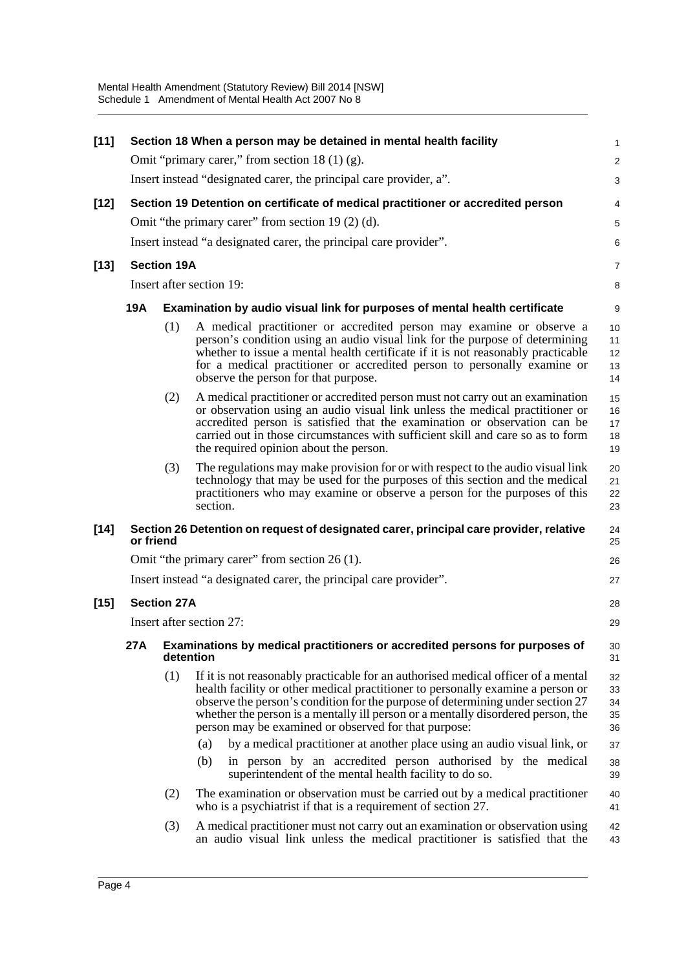| $[11]$ |                                                                                  |                          | Section 18 When a person may be detained in mental health facility                                                                                                                                                                                                                                                                                                                                                                                                                                                                                                                                                     | 1                                            |  |  |
|--------|----------------------------------------------------------------------------------|--------------------------|------------------------------------------------------------------------------------------------------------------------------------------------------------------------------------------------------------------------------------------------------------------------------------------------------------------------------------------------------------------------------------------------------------------------------------------------------------------------------------------------------------------------------------------------------------------------------------------------------------------------|----------------------------------------------|--|--|
|        |                                                                                  |                          | Omit "primary carer," from section $18(1)(g)$ .                                                                                                                                                                                                                                                                                                                                                                                                                                                                                                                                                                        | $\overline{\mathbf{c}}$                      |  |  |
|        |                                                                                  |                          | Insert instead "designated carer, the principal care provider, a".                                                                                                                                                                                                                                                                                                                                                                                                                                                                                                                                                     | 3                                            |  |  |
| $[12]$ | Section 19 Detention on certificate of medical practitioner or accredited person | 4                        |                                                                                                                                                                                                                                                                                                                                                                                                                                                                                                                                                                                                                        |                                              |  |  |
|        |                                                                                  |                          | Omit "the primary carer" from section 19 (2) (d).                                                                                                                                                                                                                                                                                                                                                                                                                                                                                                                                                                      | 5                                            |  |  |
|        |                                                                                  |                          | Insert instead "a designated carer, the principal care provider".                                                                                                                                                                                                                                                                                                                                                                                                                                                                                                                                                      | 6                                            |  |  |
| $[13]$ |                                                                                  | <b>Section 19A</b>       |                                                                                                                                                                                                                                                                                                                                                                                                                                                                                                                                                                                                                        | 7                                            |  |  |
|        |                                                                                  | Insert after section 19: |                                                                                                                                                                                                                                                                                                                                                                                                                                                                                                                                                                                                                        |                                              |  |  |
|        | <b>19A</b>                                                                       |                          | Examination by audio visual link for purposes of mental health certificate                                                                                                                                                                                                                                                                                                                                                                                                                                                                                                                                             | 9                                            |  |  |
|        |                                                                                  | (1)                      | A medical practitioner or accredited person may examine or observe a<br>person's condition using an audio visual link for the purpose of determining<br>whether to issue a mental health certificate if it is not reasonably practicable<br>for a medical practitioner or accredited person to personally examine or<br>observe the person for that purpose.                                                                                                                                                                                                                                                           | 10<br>11<br>12<br>13<br>14                   |  |  |
|        |                                                                                  | (2)                      | A medical practitioner or accredited person must not carry out an examination<br>or observation using an audio visual link unless the medical practitioner or<br>accredited person is satisfied that the examination or observation can be<br>carried out in those circumstances with sufficient skill and care so as to form<br>the required opinion about the person.                                                                                                                                                                                                                                                | 15<br>16<br>17<br>18<br>19                   |  |  |
|        |                                                                                  | (3)                      | The regulations may make provision for or with respect to the audio visual link<br>technology that may be used for the purposes of this section and the medical<br>practitioners who may examine or observe a person for the purposes of this<br>section.                                                                                                                                                                                                                                                                                                                                                              | 20<br>21<br>22<br>23                         |  |  |
| $[14]$ | or friend                                                                        |                          | Section 26 Detention on request of designated carer, principal care provider, relative                                                                                                                                                                                                                                                                                                                                                                                                                                                                                                                                 | 24<br>25                                     |  |  |
|        | Omit "the primary carer" from section 26 (1).                                    |                          |                                                                                                                                                                                                                                                                                                                                                                                                                                                                                                                                                                                                                        |                                              |  |  |
|        | Insert instead "a designated carer, the principal care provider".                |                          |                                                                                                                                                                                                                                                                                                                                                                                                                                                                                                                                                                                                                        |                                              |  |  |
| $[15]$ | <b>Section 27A</b>                                                               |                          |                                                                                                                                                                                                                                                                                                                                                                                                                                                                                                                                                                                                                        |                                              |  |  |
|        | Insert after section 27:                                                         |                          |                                                                                                                                                                                                                                                                                                                                                                                                                                                                                                                                                                                                                        |                                              |  |  |
|        |                                                                                  |                          | 27A Examinations by medical practitioners or accredited persons for purposes of<br>detention                                                                                                                                                                                                                                                                                                                                                                                                                                                                                                                           | 30<br>31                                     |  |  |
|        |                                                                                  | (1)                      | If it is not reasonably practicable for an authorised medical officer of a mental<br>health facility or other medical practitioner to personally examine a person or<br>observe the person's condition for the purpose of determining under section 27<br>whether the person is a mentally ill person or a mentally disordered person, the<br>person may be examined or observed for that purpose:<br>(a)<br>by a medical practitioner at another place using an audio visual link, or<br>(b)<br>in person by an accredited person authorised by the medical<br>superintendent of the mental health facility to do so. | 32<br>33<br>34<br>35<br>36<br>37<br>38<br>39 |  |  |
|        |                                                                                  | (2)                      | The examination or observation must be carried out by a medical practitioner<br>who is a psychiatrist if that is a requirement of section 27.                                                                                                                                                                                                                                                                                                                                                                                                                                                                          | 40<br>41                                     |  |  |
|        |                                                                                  | (3)                      | A medical practitioner must not carry out an examination or observation using<br>an audio visual link unless the medical practitioner is satisfied that the                                                                                                                                                                                                                                                                                                                                                                                                                                                            | 42<br>43                                     |  |  |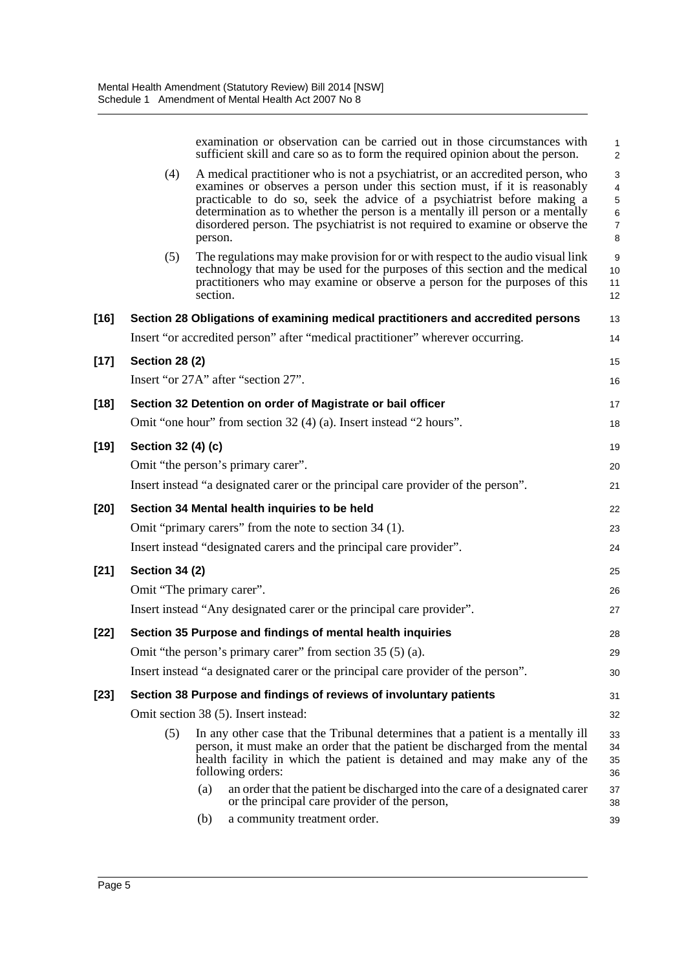|        |                       | examination or observation can be carried out in those circumstances with<br>sufficient skill and care so as to form the required opinion about the person.                                                                                                                                                                                                                                                          | $\mathbf{1}$<br>$\overline{2}$                  |
|--------|-----------------------|----------------------------------------------------------------------------------------------------------------------------------------------------------------------------------------------------------------------------------------------------------------------------------------------------------------------------------------------------------------------------------------------------------------------|-------------------------------------------------|
|        | (4)                   | A medical practitioner who is not a psychiatrist, or an accredited person, who<br>examines or observes a person under this section must, if it is reasonably<br>practicable to do so, seek the advice of a psychiatrist before making a<br>determination as to whether the person is a mentally ill person or a mentally<br>disordered person. The psychiatrist is not required to examine or observe the<br>person. | 3<br>4<br>5<br>$\,6\,$<br>$\boldsymbol{7}$<br>8 |
|        | (5)                   | The regulations may make provision for or with respect to the audio visual link<br>technology that may be used for the purposes of this section and the medical<br>practitioners who may examine or observe a person for the purposes of this<br>section.                                                                                                                                                            | 9<br>10<br>11<br>12                             |
| $[16]$ |                       | Section 28 Obligations of examining medical practitioners and accredited persons                                                                                                                                                                                                                                                                                                                                     | 13                                              |
|        |                       | Insert "or accredited person" after "medical practitioner" wherever occurring.                                                                                                                                                                                                                                                                                                                                       | 14                                              |
| $[17]$ | <b>Section 28 (2)</b> |                                                                                                                                                                                                                                                                                                                                                                                                                      | 15                                              |
|        |                       | Insert "or 27A" after "section 27".                                                                                                                                                                                                                                                                                                                                                                                  | 16                                              |
| [18]   |                       | Section 32 Detention on order of Magistrate or bail officer                                                                                                                                                                                                                                                                                                                                                          | 17                                              |
|        |                       | Omit "one hour" from section 32 (4) (a). Insert instead "2 hours".                                                                                                                                                                                                                                                                                                                                                   | 18                                              |
| [19]   | Section 32 (4) (c)    |                                                                                                                                                                                                                                                                                                                                                                                                                      | 19                                              |
|        |                       | Omit "the person's primary carer".                                                                                                                                                                                                                                                                                                                                                                                   | 20                                              |
|        |                       | Insert instead "a designated carer or the principal care provider of the person".                                                                                                                                                                                                                                                                                                                                    | 21                                              |
| [20]   |                       | Section 34 Mental health inquiries to be held                                                                                                                                                                                                                                                                                                                                                                        | 22                                              |
|        |                       | Omit "primary carers" from the note to section 34 (1).                                                                                                                                                                                                                                                                                                                                                               | 23                                              |
|        |                       | Insert instead "designated carers and the principal care provider".                                                                                                                                                                                                                                                                                                                                                  | 24                                              |
| $[21]$ | <b>Section 34 (2)</b> |                                                                                                                                                                                                                                                                                                                                                                                                                      | 25                                              |
|        |                       | Omit "The primary carer".                                                                                                                                                                                                                                                                                                                                                                                            | 26                                              |
|        |                       | Insert instead "Any designated carer or the principal care provider".                                                                                                                                                                                                                                                                                                                                                | 27                                              |
| [22]   |                       | Section 35 Purpose and findings of mental health inquiries                                                                                                                                                                                                                                                                                                                                                           | 28                                              |
|        |                       | Omit "the person's primary carer" from section 35 (5) (a).<br>Insert instead "a designated carer or the principal care provider of the person".                                                                                                                                                                                                                                                                      | 29                                              |
|        |                       |                                                                                                                                                                                                                                                                                                                                                                                                                      | 30                                              |
| [23]   |                       | Section 38 Purpose and findings of reviews of involuntary patients<br>Omit section 38 (5). Insert instead:                                                                                                                                                                                                                                                                                                           | 31                                              |
|        | (5)                   | In any other case that the Tribunal determines that a patient is a mentally ill                                                                                                                                                                                                                                                                                                                                      | 32<br>33                                        |
|        |                       | person, it must make an order that the patient be discharged from the mental<br>health facility in which the patient is detained and may make any of the<br>following orders:                                                                                                                                                                                                                                        | 34<br>35<br>36                                  |
|        |                       | an order that the patient be discharged into the care of a designated carer<br>(a)<br>or the principal care provider of the person,                                                                                                                                                                                                                                                                                  | 37<br>38                                        |
|        |                       | a community treatment order.<br>(b)                                                                                                                                                                                                                                                                                                                                                                                  | 39                                              |
|        |                       |                                                                                                                                                                                                                                                                                                                                                                                                                      |                                                 |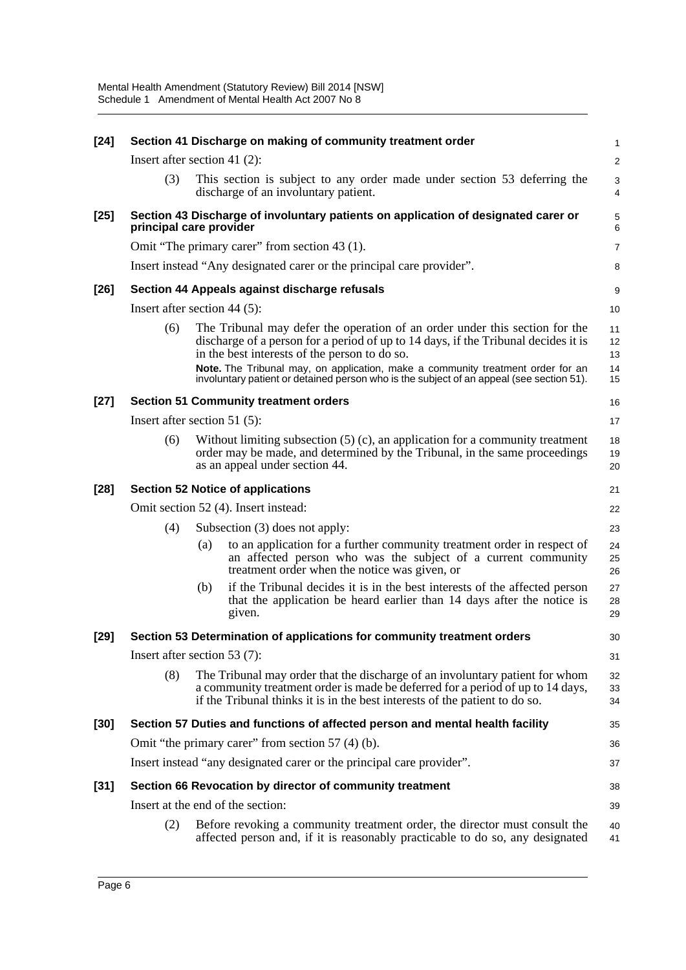| $[24]$ |                                                                               |                                                                                                                                                                                                 | Section 41 Discharge on making of community treatment order                                                                                                                                                                                   | 1                    |  |
|--------|-------------------------------------------------------------------------------|-------------------------------------------------------------------------------------------------------------------------------------------------------------------------------------------------|-----------------------------------------------------------------------------------------------------------------------------------------------------------------------------------------------------------------------------------------------|----------------------|--|
|        | Insert after section 41 $(2)$ :                                               |                                                                                                                                                                                                 |                                                                                                                                                                                                                                               | $\overline{2}$       |  |
|        | (3)                                                                           |                                                                                                                                                                                                 | This section is subject to any order made under section 53 deferring the<br>discharge of an involuntary patient.                                                                                                                              | 3<br>4               |  |
| $[25]$ | principal care provider                                                       |                                                                                                                                                                                                 | Section 43 Discharge of involuntary patients on application of designated carer or                                                                                                                                                            | 5<br>$6\phantom{1}6$ |  |
|        |                                                                               |                                                                                                                                                                                                 | Omit "The primary carer" from section 43 (1).                                                                                                                                                                                                 | $\overline{7}$       |  |
|        |                                                                               |                                                                                                                                                                                                 | Insert instead "Any designated carer or the principal care provider".                                                                                                                                                                         | 8                    |  |
| $[26]$ |                                                                               |                                                                                                                                                                                                 | Section 44 Appeals against discharge refusals                                                                                                                                                                                                 | 9                    |  |
|        | Insert after section 44 $(5)$ :                                               |                                                                                                                                                                                                 |                                                                                                                                                                                                                                               | 10                   |  |
|        | (6)                                                                           |                                                                                                                                                                                                 | The Tribunal may defer the operation of an order under this section for the<br>discharge of a person for a period of up to 14 days, if the Tribunal decides it is<br>in the best interests of the person to do so.                            | 11<br>12<br>13       |  |
|        |                                                                               |                                                                                                                                                                                                 | Note. The Tribunal may, on application, make a community treatment order for an<br>involuntary patient or detained person who is the subject of an appeal (see section 51).                                                                   | 14<br>15             |  |
| $[27]$ |                                                                               |                                                                                                                                                                                                 | <b>Section 51 Community treatment orders</b>                                                                                                                                                                                                  | 16                   |  |
|        | Insert after section 51 $(5)$ :                                               |                                                                                                                                                                                                 |                                                                                                                                                                                                                                               | 17                   |  |
|        | (6)                                                                           | Without limiting subsection $(5)$ (c), an application for a community treatment<br>order may be made, and determined by the Tribunal, in the same proceedings<br>as an appeal under section 44. |                                                                                                                                                                                                                                               |                      |  |
| $[28]$ | <b>Section 52 Notice of applications</b>                                      |                                                                                                                                                                                                 |                                                                                                                                                                                                                                               |                      |  |
|        | Omit section 52 (4). Insert instead:                                          |                                                                                                                                                                                                 |                                                                                                                                                                                                                                               |                      |  |
|        | (4)                                                                           |                                                                                                                                                                                                 | Subsection (3) does not apply:                                                                                                                                                                                                                |                      |  |
|        |                                                                               | (a)                                                                                                                                                                                             | to an application for a further community treatment order in respect of<br>an affected person who was the subject of a current community<br>treatment order when the notice was given, or                                                     | 24<br>25<br>26       |  |
|        |                                                                               | (b)                                                                                                                                                                                             | if the Tribunal decides it is in the best interests of the affected person<br>that the application be heard earlier than 14 days after the notice is<br>given.                                                                                | 27<br>28<br>29       |  |
| $[29]$ |                                                                               |                                                                                                                                                                                                 | Section 53 Determination of applications for community treatment orders                                                                                                                                                                       | 30                   |  |
|        | Insert after section 53 (7):<br>31                                            |                                                                                                                                                                                                 |                                                                                                                                                                                                                                               |                      |  |
|        | (8)                                                                           |                                                                                                                                                                                                 | The Tribunal may order that the discharge of an involuntary patient for whom<br>a community treatment order is made be deferred for a period of up to 14 days,<br>if the Tribunal thinks it is in the best interests of the patient to do so. | 32<br>33<br>34       |  |
| $[30]$ | Section 57 Duties and functions of affected person and mental health facility |                                                                                                                                                                                                 |                                                                                                                                                                                                                                               |                      |  |
|        | Omit "the primary carer" from section 57 (4) (b).                             |                                                                                                                                                                                                 |                                                                                                                                                                                                                                               |                      |  |
|        | Insert instead "any designated carer or the principal care provider".         |                                                                                                                                                                                                 |                                                                                                                                                                                                                                               |                      |  |
| $[31]$ |                                                                               |                                                                                                                                                                                                 | Section 66 Revocation by director of community treatment                                                                                                                                                                                      | 38                   |  |
|        |                                                                               |                                                                                                                                                                                                 | Insert at the end of the section:                                                                                                                                                                                                             | 39                   |  |
|        | (2)                                                                           |                                                                                                                                                                                                 | Before revoking a community treatment order, the director must consult the<br>affected person and, if it is reasonably practicable to do so, any designated                                                                                   | 40<br>41             |  |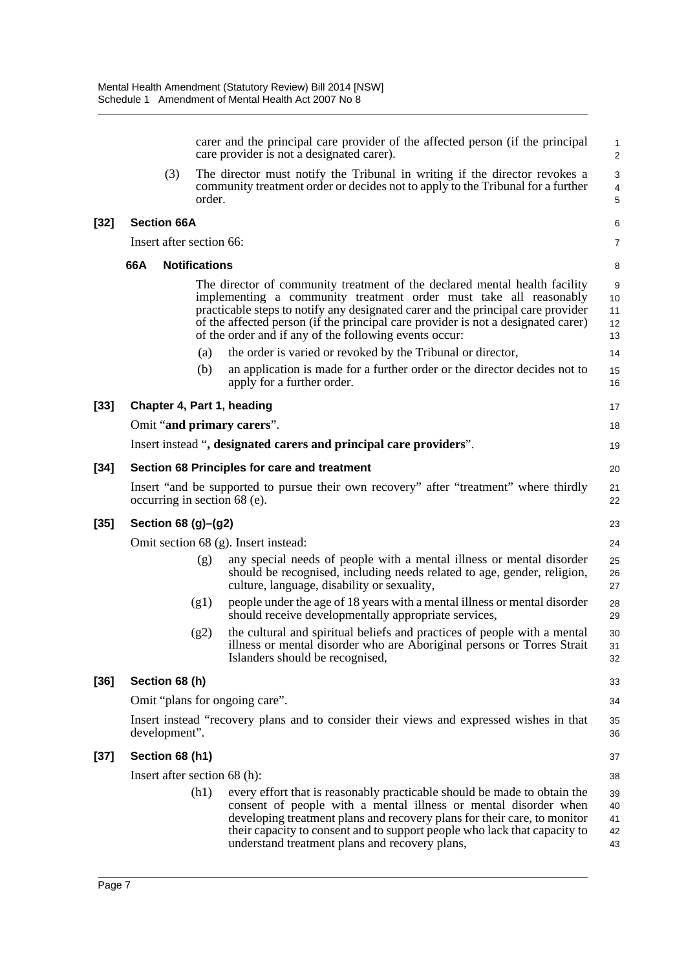|      |                              |                      | carer and the principal care provider of the affected person (if the principal<br>care provider is not a designated carer).                                                                                                                                                                                                                                                        | $\mathbf{1}$<br>$\overline{2}$                       |
|------|------------------------------|----------------------|------------------------------------------------------------------------------------------------------------------------------------------------------------------------------------------------------------------------------------------------------------------------------------------------------------------------------------------------------------------------------------|------------------------------------------------------|
|      | (3)                          | order.               | The director must notify the Tribunal in writing if the director revokes a<br>community treatment order or decides not to apply to the Tribunal for a further                                                                                                                                                                                                                      | $\sqrt{3}$<br>$\overline{\mathbf{4}}$<br>$\mathbf 5$ |
| [32] | <b>Section 66A</b>           |                      |                                                                                                                                                                                                                                                                                                                                                                                    | 6                                                    |
|      | Insert after section 66:     |                      |                                                                                                                                                                                                                                                                                                                                                                                    | $\overline{7}$                                       |
|      | 66A                          | <b>Notifications</b> |                                                                                                                                                                                                                                                                                                                                                                                    | 8                                                    |
|      |                              |                      | The director of community treatment of the declared mental health facility<br>implementing a community treatment order must take all reasonably<br>practicable steps to notify any designated carer and the principal care provider<br>of the affected person (if the principal care provider is not a designated carer)<br>of the order and if any of the following events occur: | 9<br>10<br>11<br>12<br>13                            |
|      |                              | (a)                  | the order is varied or revoked by the Tribunal or director,                                                                                                                                                                                                                                                                                                                        | 14                                                   |
|      |                              | (b)                  | an application is made for a further order or the director decides not to<br>apply for a further order.                                                                                                                                                                                                                                                                            | 15<br>16                                             |
| [33] | Chapter 4, Part 1, heading   |                      |                                                                                                                                                                                                                                                                                                                                                                                    | 17                                                   |
|      |                              |                      | Omit "and primary carers".                                                                                                                                                                                                                                                                                                                                                         | 18                                                   |
|      |                              |                      | Insert instead ", designated carers and principal care providers".                                                                                                                                                                                                                                                                                                                 | 19                                                   |
| [34] |                              |                      | Section 68 Principles for care and treatment                                                                                                                                                                                                                                                                                                                                       | 20                                                   |
|      | occurring in section 68 (e). |                      | Insert "and be supported to pursue their own recovery" after "treatment" where thirdly                                                                                                                                                                                                                                                                                             | 21<br>22                                             |
| [35] | Section 68 (g)-(g2)          |                      |                                                                                                                                                                                                                                                                                                                                                                                    | 23                                                   |
|      |                              |                      | Omit section 68 (g). Insert instead:                                                                                                                                                                                                                                                                                                                                               | 24                                                   |
|      |                              | (g)                  | any special needs of people with a mental illness or mental disorder<br>should be recognised, including needs related to age, gender, religion,<br>culture, language, disability or sexuality,                                                                                                                                                                                     | 25<br>26<br>27                                       |
|      |                              | (g1)                 | people under the age of 18 years with a mental illness or mental disorder<br>should receive developmentally appropriate services,                                                                                                                                                                                                                                                  | 28<br>29                                             |
|      |                              | (g2)                 | the cultural and spiritual beliefs and practices of people with a mental<br>illness or mental disorder who are Aboriginal persons or Torres Strait<br>Islanders should be recognised,                                                                                                                                                                                              | 30<br>31<br>32                                       |
| [36] | Section 68 (h)               |                      |                                                                                                                                                                                                                                                                                                                                                                                    | 33                                                   |
|      |                              |                      | Omit "plans for ongoing care".                                                                                                                                                                                                                                                                                                                                                     | 34                                                   |
|      | development".                |                      | Insert instead "recovery plans and to consider their views and expressed wishes in that                                                                                                                                                                                                                                                                                            | 35<br>36                                             |
| [37] | Section 68 (h1)              |                      |                                                                                                                                                                                                                                                                                                                                                                                    | 37                                                   |
|      | Insert after section 68 (h): |                      |                                                                                                                                                                                                                                                                                                                                                                                    | 38                                                   |
|      |                              | (h1)                 | every effort that is reasonably practicable should be made to obtain the<br>consent of people with a mental illness or mental disorder when<br>developing treatment plans and recovery plans for their care, to monitor<br>their capacity to consent and to support people who lack that capacity to<br>understand treatment plans and recovery plans,                             | 39<br>40<br>41<br>42<br>43                           |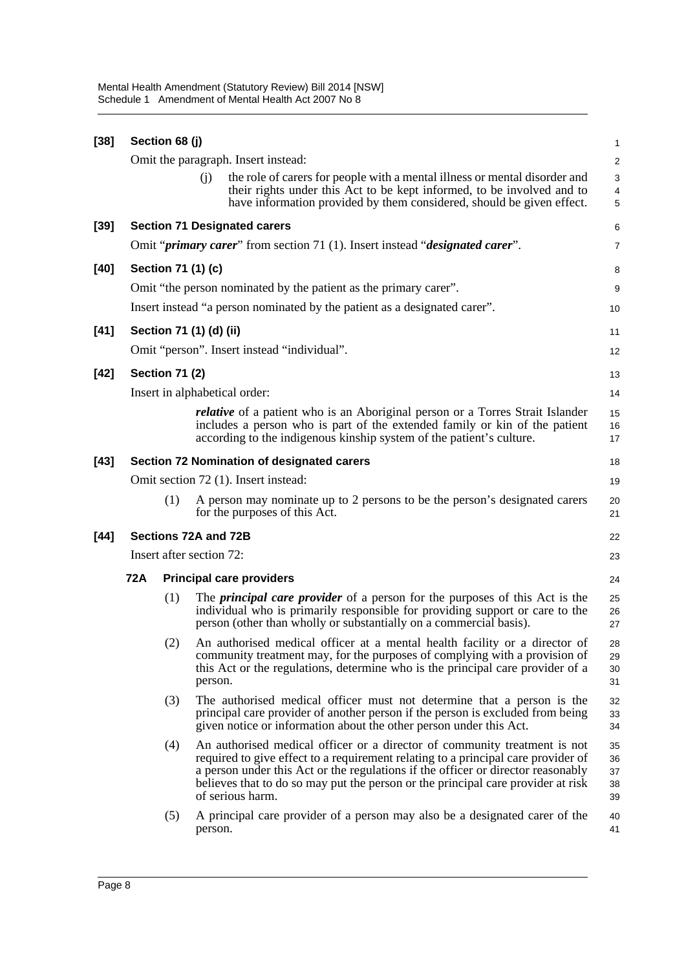| $[38]$ |     | Section 68 (j)        |                                                                                                                                                                                                                                                                                                                                                            | 1                            |
|--------|-----|-----------------------|------------------------------------------------------------------------------------------------------------------------------------------------------------------------------------------------------------------------------------------------------------------------------------------------------------------------------------------------------------|------------------------------|
|        |     |                       | Omit the paragraph. Insert instead:                                                                                                                                                                                                                                                                                                                        | $\overline{\mathbf{c}}$      |
|        |     |                       | the role of carers for people with a mental illness or mental disorder and<br>(i)                                                                                                                                                                                                                                                                          | 3                            |
|        |     |                       | their rights under this Act to be kept informed, to be involved and to<br>have information provided by them considered, should be given effect.                                                                                                                                                                                                            | $\overline{\mathbf{4}}$<br>5 |
| $[39]$ |     |                       | <b>Section 71 Designated carers</b>                                                                                                                                                                                                                                                                                                                        | 6                            |
|        |     |                       | Omit " <i>primary carer</i> " from section 71 (1). Insert instead " <i>designated carer</i> ".                                                                                                                                                                                                                                                             | 7                            |
|        |     |                       |                                                                                                                                                                                                                                                                                                                                                            |                              |
| $[40]$ |     |                       | Section 71 (1) (c)                                                                                                                                                                                                                                                                                                                                         | 8                            |
|        |     |                       | Omit "the person nominated by the patient as the primary carer".                                                                                                                                                                                                                                                                                           | 9                            |
|        |     |                       | Insert instead "a person nominated by the patient as a designated carer".                                                                                                                                                                                                                                                                                  | 10                           |
| $[41]$ |     |                       | Section 71 (1) (d) (ii)                                                                                                                                                                                                                                                                                                                                    | 11                           |
|        |     |                       | Omit "person". Insert instead "individual".                                                                                                                                                                                                                                                                                                                | 12                           |
| $[42]$ |     | <b>Section 71 (2)</b> |                                                                                                                                                                                                                                                                                                                                                            | 13                           |
|        |     |                       | Insert in alphabetical order:                                                                                                                                                                                                                                                                                                                              | 14                           |
|        |     |                       | <i>relative</i> of a patient who is an Aboriginal person or a Torres Strait Islander<br>includes a person who is part of the extended family or kin of the patient<br>according to the indigenous kinship system of the patient's culture.                                                                                                                 | 15<br>16<br>17               |
| $[43]$ |     |                       | <b>Section 72 Nomination of designated carers</b>                                                                                                                                                                                                                                                                                                          | 18                           |
|        |     |                       | Omit section 72 (1). Insert instead:                                                                                                                                                                                                                                                                                                                       | 19                           |
|        |     | (1)                   | A person may nominate up to 2 persons to be the person's designated carers<br>for the purposes of this Act.                                                                                                                                                                                                                                                | 20<br>21                     |
| $[44]$ |     |                       | Sections 72A and 72B                                                                                                                                                                                                                                                                                                                                       | 22                           |
|        |     |                       | Insert after section 72:                                                                                                                                                                                                                                                                                                                                   | 23                           |
|        | 72A |                       | <b>Principal care providers</b>                                                                                                                                                                                                                                                                                                                            | 24                           |
|        |     | (1)                   | The <i>principal care provider</i> of a person for the purposes of this Act is the<br>individual who is primarily responsible for providing support or care to the<br>person (other than wholly or substantially on a commercial basis).                                                                                                                   | 25<br>26<br>27               |
|        |     | (2)                   | An authorised medical officer at a mental health facility or a director of<br>community treatment may, for the purposes of complying with a provision of<br>this Act or the regulations, determine who is the principal care provider of a<br>person.                                                                                                      | 28<br>29<br>30<br>31         |
|        |     | (3)                   | The authorised medical officer must not determine that a person is the<br>principal care provider of another person if the person is excluded from being<br>given notice or information about the other person under this Act.                                                                                                                             | 32<br>33<br>34               |
|        |     | (4)                   | An authorised medical officer or a director of community treatment is not<br>required to give effect to a requirement relating to a principal care provider of<br>a person under this Act or the regulations if the officer or director reasonably<br>believes that to do so may put the person or the principal care provider at risk<br>of serious harm. | 35<br>36<br>37<br>38<br>39   |
|        |     | (5)                   | A principal care provider of a person may also be a designated carer of the<br>person.                                                                                                                                                                                                                                                                     | 40<br>41                     |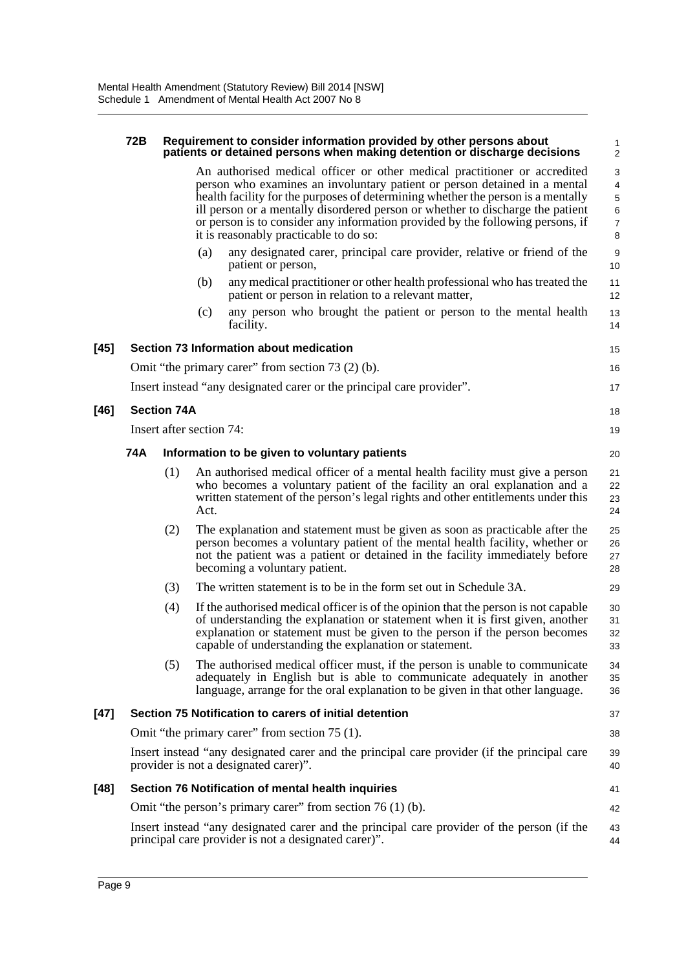#### **72B Requirement to consider information provided by other persons about patients or detained persons when making detention or discharge decisions**

An authorised medical officer or other medical practitioner or accredited person who examines an involuntary patient or person detained in a mental health facility for the purposes of determining whether the person is a mentally ill person or a mentally disordered person or whether to discharge the patient or person is to consider any information provided by the following persons, if it is reasonably practicable to do so:

18 19 20

29

41 42

- (a) any designated carer, principal care provider, relative or friend of the patient or person,
- (b) any medical practitioner or other health professional who has treated the patient or person in relation to a relevant matter,
- (c) any person who brought the patient or person to the mental health facility.

| [45] | Section 73 Information about medication                               |
|------|-----------------------------------------------------------------------|
|      | Omit "the primary carer" from section 73 (2) (b).                     |
|      | Insert instead "any designated carer or the principal care provider". |
| [46] | <b>Section 74A</b>                                                    |

Insert after section 74:

#### **74A Information to be given to voluntary patients**

- (1) An authorised medical officer of a mental health facility must give a person who becomes a voluntary patient of the facility an oral explanation and a written statement of the person's legal rights and other entitlements under this Act. 21 22 23 24
- (2) The explanation and statement must be given as soon as practicable after the person becomes a voluntary patient of the mental health facility, whether or not the patient was a patient or detained in the facility immediately before becoming a voluntary patient. 25 26 27 28
- (3) The written statement is to be in the form set out in Schedule 3A.
- (4) If the authorised medical officer is of the opinion that the person is not capable of understanding the explanation or statement when it is first given, another explanation or statement must be given to the person if the person becomes capable of understanding the explanation or statement. 30 31 32 33
- (5) The authorised medical officer must, if the person is unable to communicate adequately in English but is able to communicate adequately in another language, arrange for the oral explanation to be given in that other language.  $34$ 35 36

#### **[47] Section 75 Notification to carers of initial detention**

Omit "the primary carer" from section 75 (1).

Insert instead "any designated carer and the principal care provider (if the principal care provider is not a designated carer)".

#### **[48] Section 76 Notification of mental health inquiries**

Omit "the person's primary carer" from section 76 (1) (b).

Insert instead "any designated carer and the principal care provider of the person (if the principal care provider is not a designated carer)". 43 44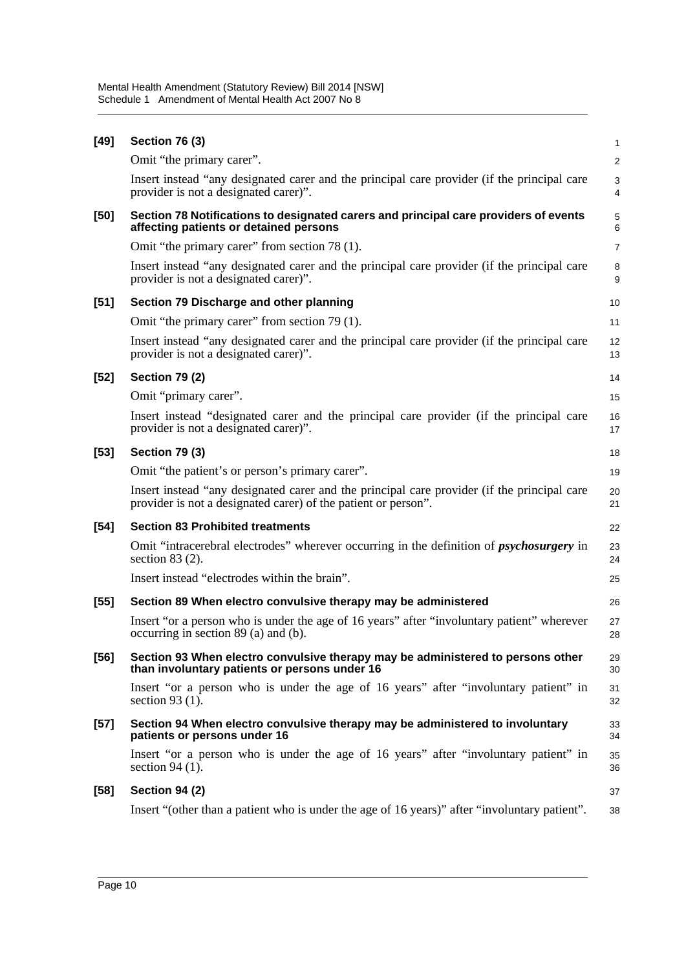| $[49]$ | <b>Section 76 (3)</b>                                                                                                                                         | 1              |
|--------|---------------------------------------------------------------------------------------------------------------------------------------------------------------|----------------|
|        | Omit "the primary carer".                                                                                                                                     | $\overline{a}$ |
|        | Insert instead "any designated carer and the principal care provider (if the principal care<br>provider is not a designated carer)".                          | 3<br>4         |
| $[50]$ | Section 78 Notifications to designated carers and principal care providers of events<br>affecting patients or detained persons                                | 5<br>6         |
|        | Omit "the primary carer" from section 78 (1).                                                                                                                 | $\overline{7}$ |
|        | Insert instead "any designated carer and the principal care provider (if the principal care<br>provider is not a designated carer)".                          | 8<br>9         |
| $[51]$ | Section 79 Discharge and other planning                                                                                                                       | 10             |
|        | Omit "the primary carer" from section 79 (1).                                                                                                                 | 11             |
|        | Insert instead "any designated carer and the principal care provider (if the principal care<br>provider is not a designated carer)".                          | 12<br>13       |
| $[52]$ | <b>Section 79 (2)</b>                                                                                                                                         | 14             |
|        | Omit "primary carer".                                                                                                                                         | 15             |
|        | Insert instead "designated carer and the principal care provider (if the principal care<br>provider is not a designated carer)".                              | 16<br>17       |
| $[53]$ | <b>Section 79 (3)</b>                                                                                                                                         | 18             |
|        | Omit "the patient's or person's primary carer".                                                                                                               | 19             |
|        | Insert instead "any designated carer and the principal care provider (if the principal care<br>provider is not a designated carer) of the patient or person". | 20<br>21       |
| $[54]$ | <b>Section 83 Prohibited treatments</b>                                                                                                                       | 22             |
|        | Omit "intracerebral electrodes" wherever occurring in the definition of <i>psychosurgery</i> in<br>section $83(2)$ .                                          | 23<br>24       |
|        | Insert instead "electrodes within the brain".                                                                                                                 | 25             |
| $[55]$ | Section 89 When electro convulsive therapy may be administered                                                                                                | 26             |
|        | Insert "or a person who is under the age of 16 years" after "involuntary patient" wherever<br>occurring in section 89 (a) and (b).                            | 27<br>28       |
| $[56]$ | Section 93 When electro convulsive therapy may be administered to persons other<br>than involuntary patients or persons under 16                              | 29<br>30       |
|        | Insert "or a person who is under the age of 16 years" after "involuntary patient" in<br>section 93 $(1)$ .                                                    | 31<br>32       |
| $[57]$ | Section 94 When electro convulsive therapy may be administered to involuntary<br>patients or persons under 16                                                 | 33<br>34       |
|        | Insert "or a person who is under the age of 16 years" after "involuntary patient" in<br>section $94(1)$ .                                                     | 35<br>36       |
| $[58]$ | <b>Section 94 (2)</b>                                                                                                                                         | 37             |
|        | Insert "(other than a patient who is under the age of 16 years)" after "involuntary patient".                                                                 | 38             |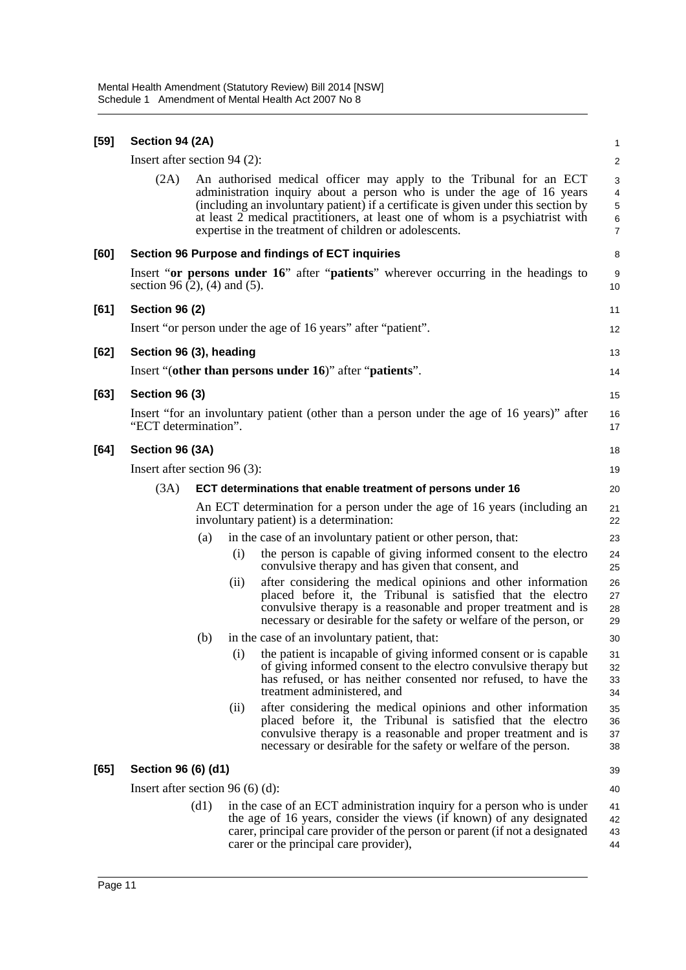| $[59]$ | Section 94 (2A)                                                                                                       |                                  |      |                                                                                                                                                                                                                                                                                                                                                                               | 1                                                         |  |
|--------|-----------------------------------------------------------------------------------------------------------------------|----------------------------------|------|-------------------------------------------------------------------------------------------------------------------------------------------------------------------------------------------------------------------------------------------------------------------------------------------------------------------------------------------------------------------------------|-----------------------------------------------------------|--|
|        | Insert after section $94$ (2):                                                                                        |                                  |      |                                                                                                                                                                                                                                                                                                                                                                               | $\overline{\mathbf{c}}$                                   |  |
|        | (2A)                                                                                                                  |                                  |      | An authorised medical officer may apply to the Tribunal for an ECT<br>administration inquiry about a person who is under the age of 16 years<br>(including an involuntary patient) if a certificate is given under this section by<br>at least 2 medical practitioners, at least one of whom is a psychiatrist with<br>expertise in the treatment of children or adolescents. | 3<br>$\overline{\mathcal{A}}$<br>5<br>6<br>$\overline{7}$ |  |
| [60]   |                                                                                                                       |                                  |      | Section 96 Purpose and findings of ECT inquiries                                                                                                                                                                                                                                                                                                                              | 8                                                         |  |
|        | section 96 $(2)$ , $(4)$ and $(5)$ .                                                                                  |                                  |      | Insert "or persons under 16" after "patients" wherever occurring in the headings to                                                                                                                                                                                                                                                                                           | 9<br>10                                                   |  |
| [61]   | <b>Section 96 (2)</b>                                                                                                 |                                  |      |                                                                                                                                                                                                                                                                                                                                                                               | 11                                                        |  |
|        |                                                                                                                       |                                  |      | Insert "or person under the age of 16 years" after "patient".                                                                                                                                                                                                                                                                                                                 | 12                                                        |  |
| $[62]$ | Section 96 (3), heading                                                                                               |                                  |      |                                                                                                                                                                                                                                                                                                                                                                               | 13                                                        |  |
|        |                                                                                                                       |                                  |      | Insert "(other than persons under 16)" after "patients".                                                                                                                                                                                                                                                                                                                      | 14                                                        |  |
| [63]   | <b>Section 96 (3)</b>                                                                                                 |                                  |      |                                                                                                                                                                                                                                                                                                                                                                               | 15                                                        |  |
|        | "ECT determination".                                                                                                  |                                  |      | Insert "for an involuntary patient (other than a person under the age of 16 years)" after                                                                                                                                                                                                                                                                                     | 16<br>17                                                  |  |
| [64]   | Section 96 (3A)                                                                                                       |                                  |      |                                                                                                                                                                                                                                                                                                                                                                               | 18                                                        |  |
|        | Insert after section $96(3)$ :                                                                                        |                                  |      |                                                                                                                                                                                                                                                                                                                                                                               |                                                           |  |
|        | (3A)<br>ECT determinations that enable treatment of persons under 16                                                  |                                  |      |                                                                                                                                                                                                                                                                                                                                                                               |                                                           |  |
|        | An ECT determination for a person under the age of 16 years (including an<br>involuntary patient) is a determination: |                                  |      |                                                                                                                                                                                                                                                                                                                                                                               |                                                           |  |
|        |                                                                                                                       | (a)                              |      | in the case of an involuntary patient or other person, that:                                                                                                                                                                                                                                                                                                                  | 23                                                        |  |
|        |                                                                                                                       |                                  | (i)  | the person is capable of giving informed consent to the electro<br>convulsive therapy and has given that consent, and                                                                                                                                                                                                                                                         | 24<br>25                                                  |  |
|        |                                                                                                                       |                                  | (i)  | after considering the medical opinions and other information<br>placed before it, the Tribunal is satisfied that the electro<br>convulsive therapy is a reasonable and proper treatment and is<br>necessary or desirable for the safety or welfare of the person, or                                                                                                          | 26<br>27<br>28<br>29                                      |  |
|        |                                                                                                                       | (b)                              |      | in the case of an involuntary patient, that:                                                                                                                                                                                                                                                                                                                                  | 30                                                        |  |
|        |                                                                                                                       |                                  | (i)  | the patient is incapable of giving informed consent or is capable<br>of giving informed consent to the electro convulsive therapy but<br>has refused, or has neither consented nor refused, to have the<br>treatment administered, and                                                                                                                                        | 31<br>32<br>33<br>34                                      |  |
|        |                                                                                                                       |                                  | (ii) | after considering the medical opinions and other information<br>placed before it, the Tribunal is satisfied that the electro<br>convulsive therapy is a reasonable and proper treatment and is<br>necessary or desirable for the safety or welfare of the person.                                                                                                             | 35<br>36<br>37<br>38                                      |  |
| [65]   | Section 96 (6) (d1)                                                                                                   |                                  |      |                                                                                                                                                                                                                                                                                                                                                                               | 39                                                        |  |
|        |                                                                                                                       | Insert after section 96 (6) (d): |      |                                                                                                                                                                                                                                                                                                                                                                               |                                                           |  |
|        |                                                                                                                       | (d1)                             |      | in the case of an ECT administration inquiry for a person who is under<br>the age of 16 years, consider the views (if known) of any designated<br>carer, principal care provider of the person or parent (if not a designated<br>carer or the principal care provider),                                                                                                       | 41<br>42<br>43<br>44                                      |  |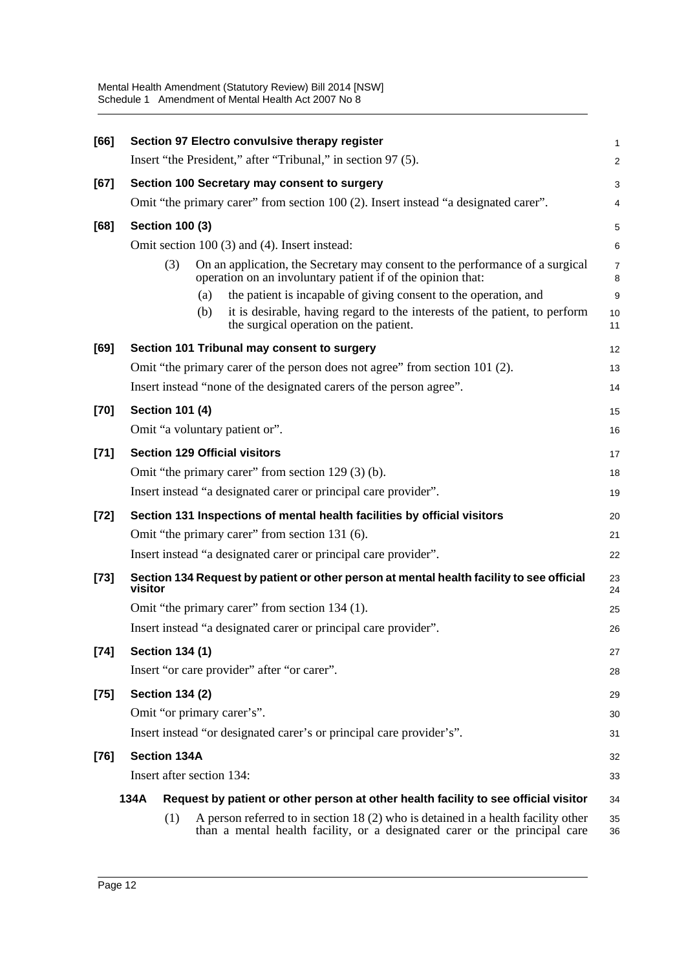| [66]   |                            | Section 97 Electro convulsive therapy register                                                                                                                  | $\mathbf{1}$        |  |  |
|--------|----------------------------|-----------------------------------------------------------------------------------------------------------------------------------------------------------------|---------------------|--|--|
|        |                            | Insert "the President," after "Tribunal," in section 97 (5).                                                                                                    | 2                   |  |  |
| [67]   |                            | Section 100 Secretary may consent to surgery                                                                                                                    |                     |  |  |
|        |                            | Omit "the primary carer" from section 100 (2). Insert instead "a designated carer".                                                                             | 4                   |  |  |
| [68]   | <b>Section 100 (3)</b>     |                                                                                                                                                                 | 5                   |  |  |
|        |                            | Omit section 100 (3) and (4). Insert instead:                                                                                                                   | 6                   |  |  |
|        | (3)                        | On an application, the Secretary may consent to the performance of a surgical<br>operation on an involuntary patient if of the opinion that:                    | $\overline{7}$<br>8 |  |  |
|        |                            | the patient is incapable of giving consent to the operation, and<br>(a)                                                                                         | 9                   |  |  |
|        |                            | it is desirable, having regard to the interests of the patient, to perform<br>(b)<br>the surgical operation on the patient.                                     | 10<br>11            |  |  |
| [69]   |                            | Section 101 Tribunal may consent to surgery                                                                                                                     | 12                  |  |  |
|        |                            | Omit "the primary carer of the person does not agree" from section 101 (2).                                                                                     | 13                  |  |  |
|        |                            | Insert instead "none of the designated carers of the person agree".                                                                                             | 14                  |  |  |
| [70]   | <b>Section 101 (4)</b>     |                                                                                                                                                                 | 15                  |  |  |
|        |                            | Omit "a voluntary patient or".                                                                                                                                  | 16                  |  |  |
| $[71]$ |                            | <b>Section 129 Official visitors</b>                                                                                                                            | 17                  |  |  |
|        |                            | Omit "the primary carer" from section 129 (3) (b).                                                                                                              | 18                  |  |  |
|        |                            | Insert instead "a designated carer or principal care provider".                                                                                                 | 19                  |  |  |
| $[72]$ |                            | Section 131 Inspections of mental health facilities by official visitors                                                                                        | 20                  |  |  |
|        |                            | Omit "the primary carer" from section 131 (6).                                                                                                                  | 21                  |  |  |
|        |                            | Insert instead "a designated carer or principal care provider".                                                                                                 | 22                  |  |  |
| $[73]$ | visitor                    | Section 134 Request by patient or other person at mental health facility to see official                                                                        | 23<br>24            |  |  |
|        |                            | Omit "the primary carer" from section 134 (1).                                                                                                                  | 25                  |  |  |
|        |                            | Insert instead "a designated carer or principal care provider".                                                                                                 | 26                  |  |  |
| $[74]$ | <b>Section 134 (1)</b>     |                                                                                                                                                                 | 27                  |  |  |
|        |                            | Insert "or care provider" after "or carer".                                                                                                                     | 28                  |  |  |
| $[75]$ | <b>Section 134 (2)</b>     |                                                                                                                                                                 | 29                  |  |  |
|        | Omit "or primary carer's". |                                                                                                                                                                 | 30                  |  |  |
|        |                            | Insert instead "or designated carer's or principal care provider's".                                                                                            | 31                  |  |  |
| $[76]$ | <b>Section 134A</b>        |                                                                                                                                                                 | 32                  |  |  |
|        | Insert after section 134:  |                                                                                                                                                                 | 33                  |  |  |
|        | 134A                       | Request by patient or other person at other health facility to see official visitor                                                                             | 34                  |  |  |
|        | (1)                        | A person referred to in section 18 (2) who is detained in a health facility other<br>than a mental health facility, or a designated carer or the principal care | 35<br>36            |  |  |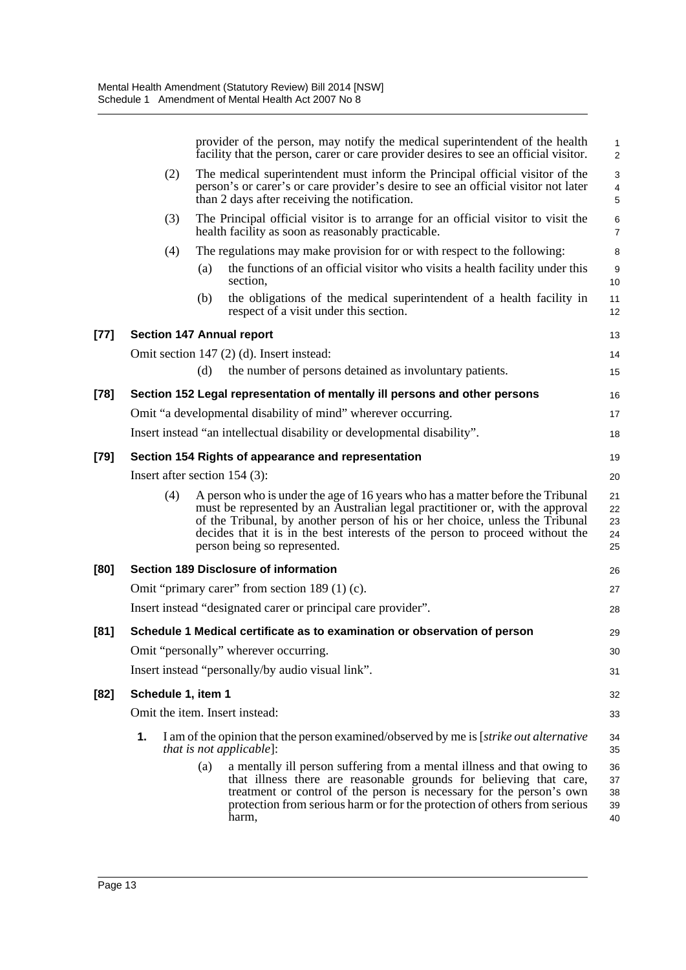|        |                                                     | provider of the person, may notify the medical superintendent of the health<br>facility that the person, caref or care provider desires to see an official visitor.                                                                                                                                                                                              | $\mathbf{1}$<br>2          |  |  |  |
|--------|-----------------------------------------------------|------------------------------------------------------------------------------------------------------------------------------------------------------------------------------------------------------------------------------------------------------------------------------------------------------------------------------------------------------------------|----------------------------|--|--|--|
|        | (2)                                                 | The medical superintendent must inform the Principal official visitor of the<br>person's or carer's or care provider's desire to see an official visitor not later<br>than 2 days after receiving the notification.                                                                                                                                              |                            |  |  |  |
|        | (3)                                                 | The Principal official visitor is to arrange for an official visitor to visit the<br>health facility as soon as reasonably practicable.                                                                                                                                                                                                                          | $\,6$<br>7                 |  |  |  |
|        | (4)                                                 | The regulations may make provision for or with respect to the following:                                                                                                                                                                                                                                                                                         | 8                          |  |  |  |
|        |                                                     | the functions of an official visitor who visits a health facility under this<br>(a)<br>section,                                                                                                                                                                                                                                                                  | $\boldsymbol{9}$<br>10     |  |  |  |
|        |                                                     | the obligations of the medical superintendent of a health facility in<br>(b)<br>respect of a visit under this section.                                                                                                                                                                                                                                           | 11<br>12                   |  |  |  |
| $[77]$ |                                                     | <b>Section 147 Annual report</b>                                                                                                                                                                                                                                                                                                                                 | 13                         |  |  |  |
|        |                                                     | Omit section 147 (2) (d). Insert instead:                                                                                                                                                                                                                                                                                                                        | 14                         |  |  |  |
|        |                                                     | the number of persons detained as involuntary patients.<br>(d)                                                                                                                                                                                                                                                                                                   | 15                         |  |  |  |
| $[78]$ |                                                     | Section 152 Legal representation of mentally ill persons and other persons                                                                                                                                                                                                                                                                                       | 16                         |  |  |  |
|        |                                                     | Omit "a developmental disability of mind" wherever occurring.                                                                                                                                                                                                                                                                                                    | 17                         |  |  |  |
|        |                                                     | Insert instead "an intellectual disability or developmental disability".                                                                                                                                                                                                                                                                                         | 18                         |  |  |  |
| $[79]$ | Section 154 Rights of appearance and representation |                                                                                                                                                                                                                                                                                                                                                                  |                            |  |  |  |
|        |                                                     | Insert after section $154$ (3):                                                                                                                                                                                                                                                                                                                                  | 20                         |  |  |  |
|        | (4)                                                 | A person who is under the age of 16 years who has a matter before the Tribunal<br>must be represented by an Australian legal practitioner or, with the approval<br>of the Tribunal, by another person of his or her choice, unless the Tribunal<br>decides that it is in the best interests of the person to proceed without the<br>person being so represented. | 21<br>22<br>23<br>24<br>25 |  |  |  |
| [80]   |                                                     | Section 189 Disclosure of information                                                                                                                                                                                                                                                                                                                            | 26                         |  |  |  |
|        |                                                     | Omit "primary carer" from section 189 (1) (c).                                                                                                                                                                                                                                                                                                                   | 27                         |  |  |  |
|        |                                                     | Insert instead "designated carer or principal care provider".                                                                                                                                                                                                                                                                                                    | 28                         |  |  |  |
| [81]   |                                                     | Schedule 1 Medical certificate as to examination or observation of person                                                                                                                                                                                                                                                                                        | 29                         |  |  |  |
|        |                                                     | Omit "personally" wherever occurring.                                                                                                                                                                                                                                                                                                                            | 30                         |  |  |  |
|        |                                                     | Insert instead "personally/by audio visual link".                                                                                                                                                                                                                                                                                                                | 31                         |  |  |  |
| $[82]$ | Schedule 1, item 1                                  |                                                                                                                                                                                                                                                                                                                                                                  | 32                         |  |  |  |
|        |                                                     | Omit the item. Insert instead:                                                                                                                                                                                                                                                                                                                                   | 33                         |  |  |  |
|        | 1.                                                  | I am of the opinion that the person examined/observed by me is [ <i>strike out alternative</i><br><i>that is not applicable</i> ]:                                                                                                                                                                                                                               | 34<br>35                   |  |  |  |
|        |                                                     | a mentally ill person suffering from a mental illness and that owing to<br>(a)<br>that illness there are reasonable grounds for believing that care,<br>treatment or control of the person is necessary for the person's own<br>protection from serious harm or for the protection of others from serious<br>harm,                                               | 36<br>37<br>38<br>39<br>40 |  |  |  |
|        |                                                     |                                                                                                                                                                                                                                                                                                                                                                  |                            |  |  |  |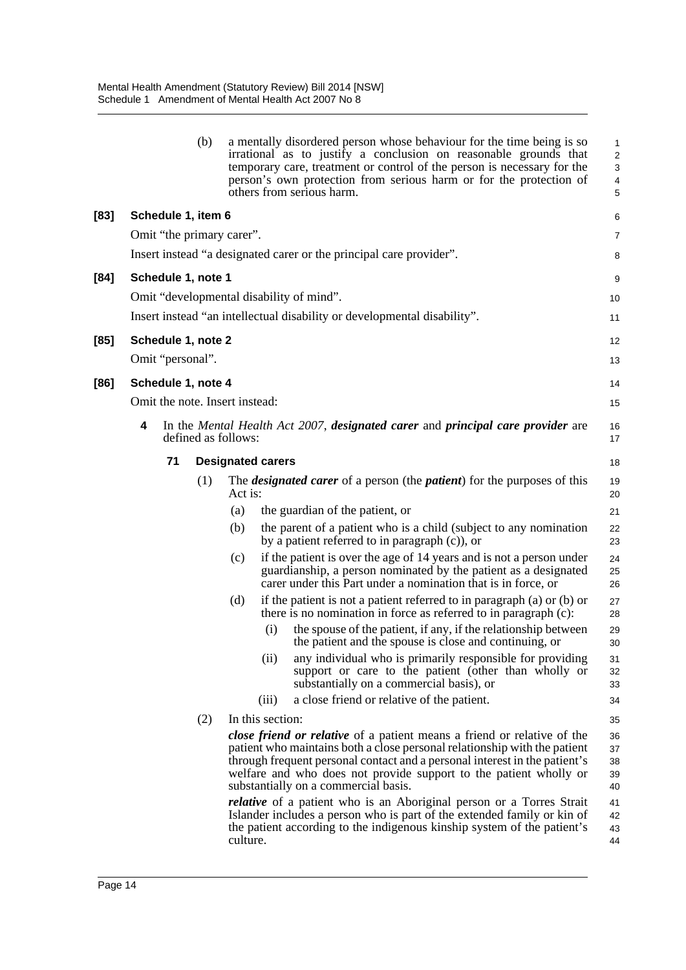|      |   |                    | (b) |                                | a mentally disordered person whose behaviour for the time being is so<br>irrational as to justify a conclusion on reasonable grounds that<br>temporary care, treatment or control of the person is necessary for the<br>person's own protection from serious harm or for the protection of<br>others from serious harm.                                | 1<br>$\overline{2}$<br>3<br>4<br>5 |
|------|---|--------------------|-----|--------------------------------|--------------------------------------------------------------------------------------------------------------------------------------------------------------------------------------------------------------------------------------------------------------------------------------------------------------------------------------------------------|------------------------------------|
| [83] |   | Schedule 1, item 6 |     |                                |                                                                                                                                                                                                                                                                                                                                                        | 6                                  |
|      |   |                    |     | Omit "the primary carer".      |                                                                                                                                                                                                                                                                                                                                                        | $\overline{7}$                     |
|      |   |                    |     |                                | Insert instead "a designated carer or the principal care provider".                                                                                                                                                                                                                                                                                    | 8                                  |
| [84] |   | Schedule 1, note 1 |     |                                |                                                                                                                                                                                                                                                                                                                                                        | 9                                  |
|      |   |                    |     |                                | Omit "developmental disability of mind".                                                                                                                                                                                                                                                                                                               | 10                                 |
|      |   |                    |     |                                | Insert instead "an intellectual disability or developmental disability".                                                                                                                                                                                                                                                                               | 11                                 |
| [85] |   | Schedule 1, note 2 |     |                                |                                                                                                                                                                                                                                                                                                                                                        | 12                                 |
|      |   | Omit "personal".   |     |                                |                                                                                                                                                                                                                                                                                                                                                        | 13                                 |
| [86] |   | Schedule 1, note 4 |     |                                |                                                                                                                                                                                                                                                                                                                                                        | 14                                 |
|      |   |                    |     | Omit the note. Insert instead: |                                                                                                                                                                                                                                                                                                                                                        | 15                                 |
|      | 4 |                    |     | defined as follows:            | In the Mental Health Act 2007, designated carer and principal care provider are                                                                                                                                                                                                                                                                        | 16<br>17                           |
|      |   | 71                 |     |                                | <b>Designated carers</b>                                                                                                                                                                                                                                                                                                                               | 18                                 |
|      |   |                    | (1) | Act is:                        | The <i>designated carer</i> of a person (the <i>patient</i> ) for the purposes of this                                                                                                                                                                                                                                                                 | 19<br>20                           |
|      |   |                    |     | (a)                            | the guardian of the patient, or                                                                                                                                                                                                                                                                                                                        | 21                                 |
|      |   |                    |     | (b)                            | the parent of a patient who is a child (subject to any nomination<br>by a patient referred to in paragraph $(c)$ , or                                                                                                                                                                                                                                  | 22<br>23                           |
|      |   |                    |     | (c)                            | if the patient is over the age of 14 years and is not a person under<br>guardianship, a person nominated by the patient as a designated<br>carer under this Part under a nomination that is in force, or                                                                                                                                               | 24<br>25<br>26                     |
|      |   |                    |     | (d)                            | if the patient is not a patient referred to in paragraph $(a)$ or $(b)$ or<br>there is no nomination in force as referred to in paragraph (c):                                                                                                                                                                                                         | 27<br>28                           |
|      |   |                    |     |                                | the spouse of the patient, if any, if the relationship between<br>(i)<br>the patient and the spouse is close and continuing, or                                                                                                                                                                                                                        | 29<br>30                           |
|      |   |                    |     |                                | (ii)<br>any individual who is primarily responsible for providing<br>support or care to the patient (other than wholly or<br>substantially on a commercial basis), or                                                                                                                                                                                  | 31<br>32<br>33                     |
|      |   |                    |     |                                | a close friend or relative of the patient.<br>(iii)                                                                                                                                                                                                                                                                                                    | 34                                 |
|      |   |                    | (2) |                                | In this section:                                                                                                                                                                                                                                                                                                                                       | 35                                 |
|      |   |                    |     |                                | <i>close friend or relative</i> of a patient means a friend or relative of the<br>patient who maintains both a close personal relationship with the patient<br>through frequent personal contact and a personal interest in the patient's<br>welfare and who does not provide support to the patient wholly or<br>substantially on a commercial basis. | 36<br>37<br>38<br>39<br>40         |
|      |   |                    |     | culture.                       | <i>relative</i> of a patient who is an Aboriginal person or a Torres Strait<br>Islander includes a person who is part of the extended family or kin of<br>the patient according to the indigenous kinship system of the patient's                                                                                                                      | 41<br>42<br>43<br>44               |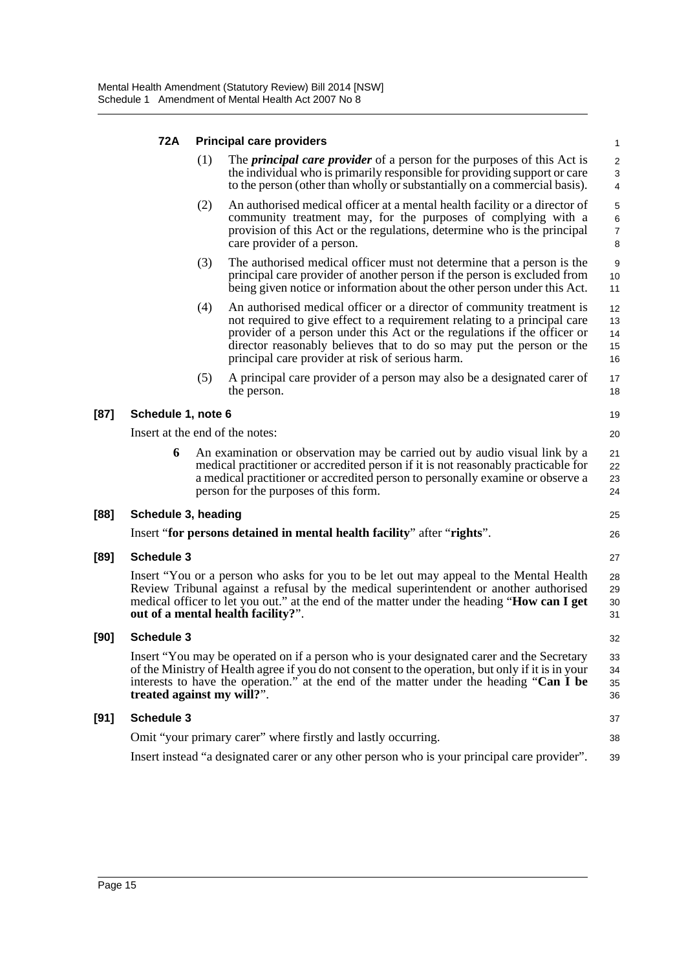|        | 72A                                                                                                                                                                                                                                                                                                                    | <b>Principal care providers</b> |                                                                                                                                                                                                                                                                                                                                                            |                                   |  |
|--------|------------------------------------------------------------------------------------------------------------------------------------------------------------------------------------------------------------------------------------------------------------------------------------------------------------------------|---------------------------------|------------------------------------------------------------------------------------------------------------------------------------------------------------------------------------------------------------------------------------------------------------------------------------------------------------------------------------------------------------|-----------------------------------|--|
|        |                                                                                                                                                                                                                                                                                                                        | (1)                             | The <i>principal care provider</i> of a person for the purposes of this Act is<br>the individual who is primarily responsible for providing support or care<br>to the person (other than wholly or substantially on a commercial basis).                                                                                                                   | $\overline{c}$<br>$\sqrt{3}$<br>4 |  |
|        |                                                                                                                                                                                                                                                                                                                        | (2)                             | An authorised medical officer at a mental health facility or a director of<br>community treatment may, for the purposes of complying with a<br>provision of this Act or the regulations, determine who is the principal<br>care provider of a person.                                                                                                      | 5<br>6<br>$\boldsymbol{7}$<br>8   |  |
|        |                                                                                                                                                                                                                                                                                                                        | (3)                             | The authorised medical officer must not determine that a person is the<br>principal care provider of another person if the person is excluded from<br>being given notice or information about the other person under this Act.                                                                                                                             | 9<br>10<br>11                     |  |
|        |                                                                                                                                                                                                                                                                                                                        | (4)                             | An authorised medical officer or a director of community treatment is<br>not required to give effect to a requirement relating to a principal care<br>provider of a person under this Act or the regulations if the officer or<br>director reasonably believes that to do so may put the person or the<br>principal care provider at risk of serious harm. | 12<br>13<br>14<br>15<br>16        |  |
|        |                                                                                                                                                                                                                                                                                                                        | (5)                             | A principal care provider of a person may also be a designated carer of<br>the person.                                                                                                                                                                                                                                                                     | 17<br>18                          |  |
| $[87]$ | Schedule 1, note 6                                                                                                                                                                                                                                                                                                     |                                 |                                                                                                                                                                                                                                                                                                                                                            | 19                                |  |
|        |                                                                                                                                                                                                                                                                                                                        |                                 | Insert at the end of the notes:                                                                                                                                                                                                                                                                                                                            | 20                                |  |
|        | 6                                                                                                                                                                                                                                                                                                                      |                                 | An examination or observation may be carried out by audio visual link by a<br>medical practitioner or accredited person if it is not reasonably practicable for<br>a medical practitioner or accredited person to personally examine or observe a<br>person for the purposes of this form.                                                                 | 21<br>22<br>23<br>24              |  |
| [88]   | Schedule 3, heading                                                                                                                                                                                                                                                                                                    |                                 |                                                                                                                                                                                                                                                                                                                                                            |                                   |  |
|        |                                                                                                                                                                                                                                                                                                                        |                                 | Insert "for persons detained in mental health facility" after "rights".                                                                                                                                                                                                                                                                                    | 26                                |  |
| $[89]$ | <b>Schedule 3</b>                                                                                                                                                                                                                                                                                                      |                                 |                                                                                                                                                                                                                                                                                                                                                            | 27                                |  |
|        |                                                                                                                                                                                                                                                                                                                        |                                 | Insert "You or a person who asks for you to be let out may appeal to the Mental Health<br>Review Tribunal against a refusal by the medical superintendent or another authorised<br>medical officer to let you out." at the end of the matter under the heading " <b>How can I get</b><br>out of a mental health facility?".                                | 28<br>29<br>30<br>31              |  |
| [90]   | Schedule 3                                                                                                                                                                                                                                                                                                             |                                 |                                                                                                                                                                                                                                                                                                                                                            |                                   |  |
|        | Insert "You may be operated on if a person who is your designated carer and the Secretary<br>of the Ministry of Health agree if you do not consent to the operation, but only if it is in your<br>interests to have the operation." at the end of the matter under the heading "Can I be<br>treated against my will?". |                                 |                                                                                                                                                                                                                                                                                                                                                            |                                   |  |
| [91]   | <b>Schedule 3</b>                                                                                                                                                                                                                                                                                                      |                                 |                                                                                                                                                                                                                                                                                                                                                            | 37                                |  |
|        |                                                                                                                                                                                                                                                                                                                        |                                 | Omit "your primary carer" where firstly and lastly occurring.                                                                                                                                                                                                                                                                                              | 38                                |  |

Insert instead "a designated carer or any other person who is your principal care provider". 39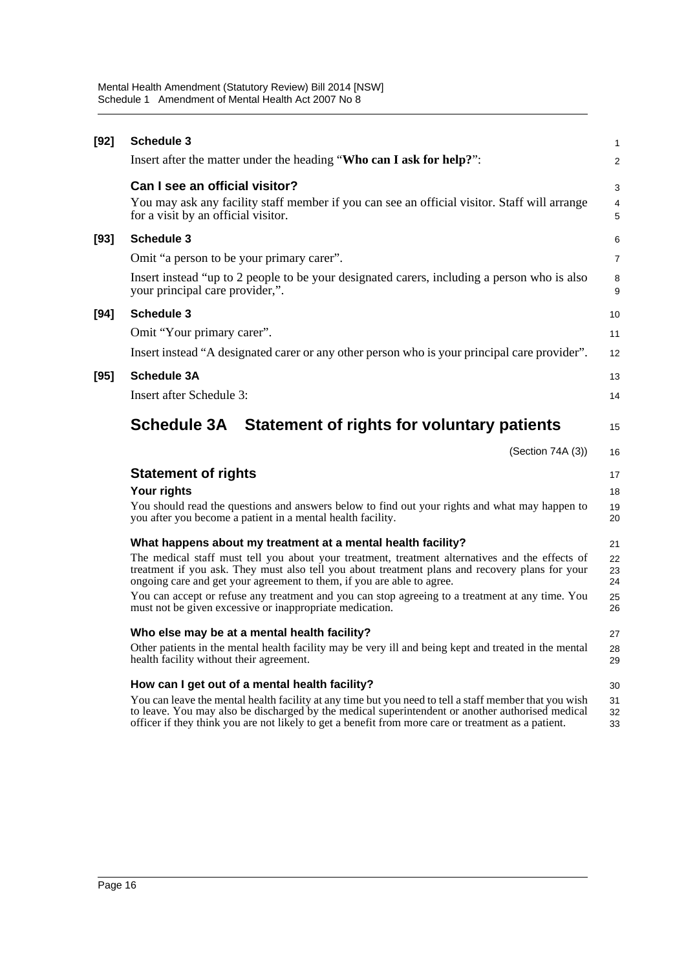| $[92]$ | <b>Schedule 3</b>                                                                                                                                                                                                                                                            | $\mathbf{1}$   |
|--------|------------------------------------------------------------------------------------------------------------------------------------------------------------------------------------------------------------------------------------------------------------------------------|----------------|
|        | Insert after the matter under the heading "Who can I ask for help?":                                                                                                                                                                                                         | 2              |
|        | Can I see an official visitor?<br>You may ask any facility staff member if you can see an official visitor. Staff will arrange<br>for a visit by an official visitor.                                                                                                        | 3<br>4<br>5    |
| [93]   | <b>Schedule 3</b>                                                                                                                                                                                                                                                            | 6              |
|        | Omit "a person to be your primary carer".                                                                                                                                                                                                                                    | $\overline{7}$ |
|        | Insert instead "up to 2 people to be your designated carers, including a person who is also<br>your principal care provider,".                                                                                                                                               | 8<br>9         |
| [94]   | <b>Schedule 3</b>                                                                                                                                                                                                                                                            | 10             |
|        | Omit "Your primary carer".                                                                                                                                                                                                                                                   | 11             |
|        | Insert instead "A designated carer or any other person who is your principal care provider".                                                                                                                                                                                 | 12             |
| [95]   | <b>Schedule 3A</b>                                                                                                                                                                                                                                                           | 13             |
|        | Insert after Schedule 3:                                                                                                                                                                                                                                                     | 14             |
|        | Schedule 3A Statement of rights for voluntary patients                                                                                                                                                                                                                       | 15             |
|        |                                                                                                                                                                                                                                                                              |                |
|        | (Section 74A (3))                                                                                                                                                                                                                                                            | 16             |
|        | <b>Statement of rights</b>                                                                                                                                                                                                                                                   | 17             |
|        | Your rights                                                                                                                                                                                                                                                                  | 18             |
|        | You should read the questions and answers below to find out your rights and what may happen to<br>you after you become a patient in a mental health facility.                                                                                                                | 19<br>20       |
|        | What happens about my treatment at a mental health facility?                                                                                                                                                                                                                 | 21             |
|        | The medical staff must tell you about your treatment, treatment alternatives and the effects of<br>treatment if you ask. They must also tell you about treatment plans and recovery plans for your<br>ongoing care and get your agreement to them, if you are able to agree. | 22<br>23<br>24 |
|        | You can accept or refuse any treatment and you can stop agreeing to a treatment at any time. You<br>must not be given excessive or inappropriate medication.                                                                                                                 | 25<br>26       |
|        | Who else may be at a mental health facility?                                                                                                                                                                                                                                 | 27             |
|        | Other patients in the mental health facility may be very ill and being kept and treated in the mental<br>health facility without their agreement.                                                                                                                            | 28<br>29       |
|        | How can I get out of a mental health facility?                                                                                                                                                                                                                               | 30             |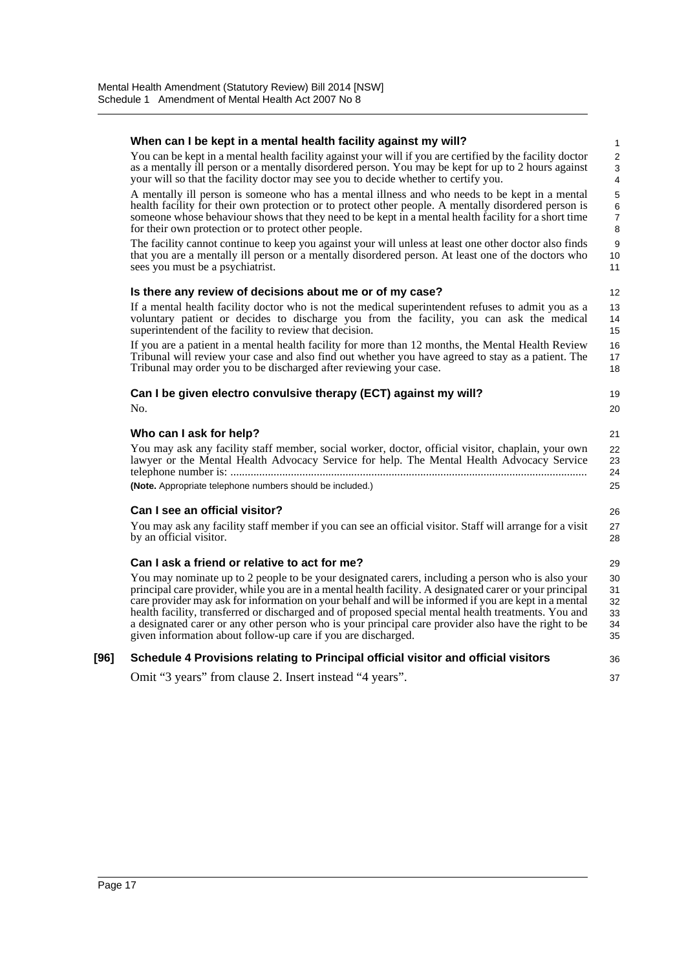|      | When can I be kept in a mental health facility against my will?                                                                                                                                                                                                                                                                                                                                                                                                                                                                                                                                                                                          | 1                                      |
|------|----------------------------------------------------------------------------------------------------------------------------------------------------------------------------------------------------------------------------------------------------------------------------------------------------------------------------------------------------------------------------------------------------------------------------------------------------------------------------------------------------------------------------------------------------------------------------------------------------------------------------------------------------------|----------------------------------------|
|      | You can be kept in a mental health facility against your will if you are certified by the facility doctor<br>as a mentally ill person or a mentally disordered person. You may be kept for up to 2 hours against<br>your will so that the facility doctor may see you to decide whether to certify you.                                                                                                                                                                                                                                                                                                                                                  | 2<br>3<br>4                            |
|      | A mentally ill person is someone who has a mental illness and who needs to be kept in a mental<br>health facility for their own protection or to protect other people. A mentally disordered person is<br>someone whose behaviour shows that they need to be kept in a mental health facility for a short time<br>for their own protection or to protect other people.                                                                                                                                                                                                                                                                                   | 5<br>6<br>$\overline{7}$<br>8          |
|      | The facility cannot continue to keep you against your will unless at least one other doctor also finds<br>that you are a mentally ill person or a mentally disordered person. At least one of the doctors who<br>sees you must be a psychiatrist.                                                                                                                                                                                                                                                                                                                                                                                                        | 9<br>10<br>11                          |
|      | Is there any review of decisions about me or of my case?                                                                                                                                                                                                                                                                                                                                                                                                                                                                                                                                                                                                 | 12                                     |
|      | If a mental health facility doctor who is not the medical superintendent refuses to admit you as a<br>voluntary patient or decides to discharge you from the facility, you can ask the medical<br>superintendent of the facility to review that decision.                                                                                                                                                                                                                                                                                                                                                                                                | 13<br>14<br>15                         |
|      | If you are a patient in a mental health facility for more than 12 months, the Mental Health Review<br>Tribunal will review your case and also find out whether you have agreed to stay as a patient. The<br>Tribunal may order you to be discharged after reviewing your case.                                                                                                                                                                                                                                                                                                                                                                           | 16<br>17<br>18                         |
|      | Can I be given electro convulsive therapy (ECT) against my will?<br>No.                                                                                                                                                                                                                                                                                                                                                                                                                                                                                                                                                                                  | 19<br>20                               |
|      | Who can I ask for help?<br>You may ask any facility staff member, social worker, doctor, official visitor, chaplain, your own<br>lawyer or the Mental Health Advocacy Service for help. The Mental Health Advocacy Service<br>(Note. Appropriate telephone numbers should be included.)                                                                                                                                                                                                                                                                                                                                                                  | 21<br>22<br>23<br>24<br>25             |
|      | <b>Can I see an official visitor?</b>                                                                                                                                                                                                                                                                                                                                                                                                                                                                                                                                                                                                                    | 26                                     |
|      | You may ask any facility staff member if you can see an official visitor. Staff will arrange for a visit<br>by an official visitor.                                                                                                                                                                                                                                                                                                                                                                                                                                                                                                                      | 27<br>28                               |
|      | Can I ask a friend or relative to act for me?<br>You may nominate up to 2 people to be your designated carers, including a person who is also your<br>principal care provider, while you are in a mental health facility. A designated carer or your principal<br>care provider may ask for information on your behalf and will be informed if you are kept in a mental<br>health facility, transferred or discharged and of proposed special mental health treatments. You and<br>a designated carer or any other person who is your principal care provider also have the right to be<br>given information about follow-up care if you are discharged. | 29<br>30<br>31<br>32<br>33<br>34<br>35 |
| [96] | Schedule 4 Provisions relating to Principal official visitor and official visitors                                                                                                                                                                                                                                                                                                                                                                                                                                                                                                                                                                       | 36                                     |
|      | Omit "3 years" from clause 2. Insert instead "4 years".                                                                                                                                                                                                                                                                                                                                                                                                                                                                                                                                                                                                  | 37                                     |